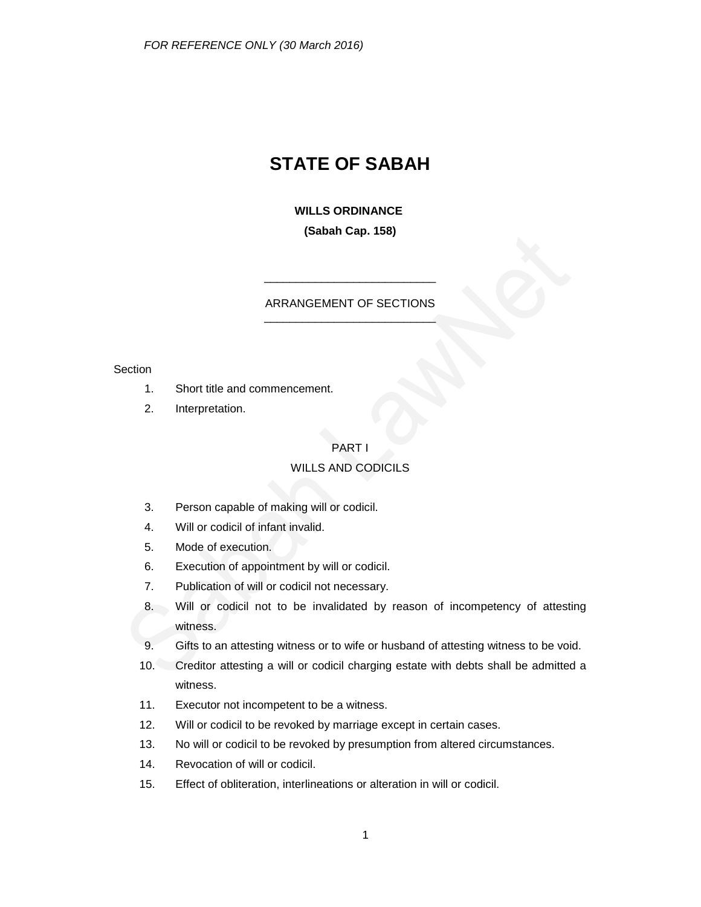# **STATE OF SABAH**

**WILLS ORDINANCE (Sabah Cap. 158)**

### ARRANGEMENT OF SECTIONS \_\_\_\_\_\_\_\_\_\_\_\_\_\_\_\_\_\_\_\_\_\_\_\_\_\_\_

\_\_\_\_\_\_\_\_\_\_\_\_\_\_\_\_\_\_\_\_\_\_\_\_\_\_\_

#### **Section**

- 1. Short title and commencement.
- 2. Interpretation.

### PART I

#### WILLS AND CODICILS

- 3. Person capable of making will or codicil.
- 4. Will or codicil of infant invalid.
- 5. Mode of execution.
- 6. Execution of appointment by will or codicil.
- 7. Publication of will or codicil not necessary.
- 8. Will or codicil not to be invalidated by reason of incompetency of attesting witness.
- 9. Gifts to an attesting witness or to wife or husband of attesting witness to be void.
- 10. Creditor attesting a will or codicil charging estate with debts shall be admitted a witness.
- 11. Executor not incompetent to be a witness.
- 12. Will or codicil to be revoked by marriage except in certain cases.
- 13. No will or codicil to be revoked by presumption from altered circumstances.
- 14. Revocation of will or codicil.
- 15. Effect of obliteration, interlineations or alteration in will or codicil.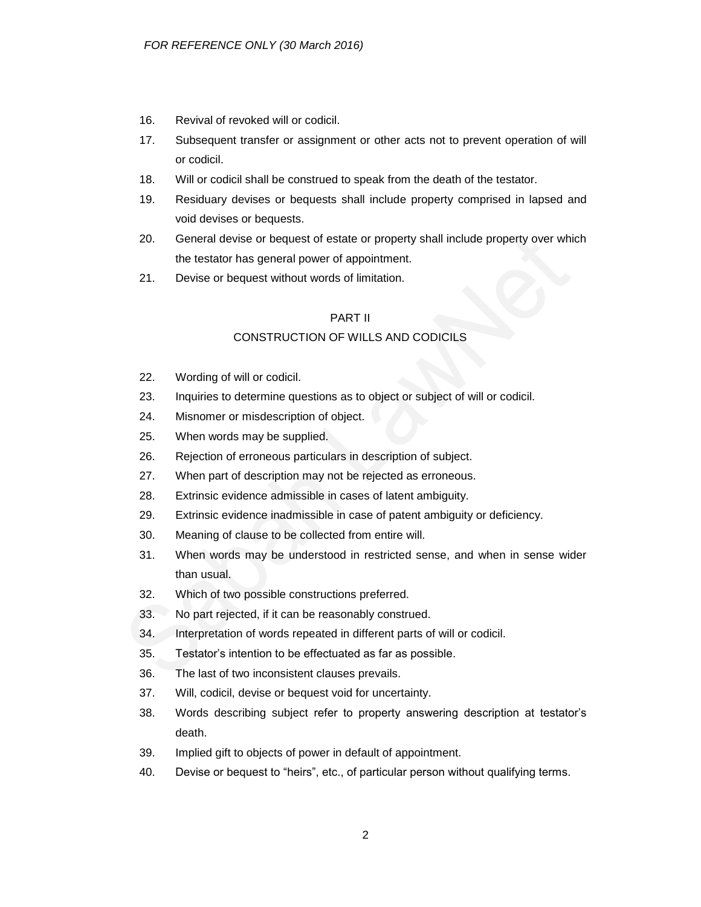- 16. Revival of revoked will or codicil.
- 17. Subsequent transfer or assignment or other acts not to prevent operation of will or codicil.
- 18. Will or codicil shall be construed to speak from the death of the testator.
- 19. Residuary devises or bequests shall include property comprised in lapsed and void devises or bequests.
- 20. General devise or bequest of estate or property shall include property over which the testator has general power of appointment.
- 21. Devise or bequest without words of limitation.

#### PART II

### CONSTRUCTION OF WILLS AND CODICILS

- 22. Wording of will or codicil.
- 23. Inquiries to determine questions as to object or subject of will or codicil.
- 24. Misnomer or misdescription of object.
- 25. When words may be supplied.
- 26. Rejection of erroneous particulars in description of subject.
- 27. When part of description may not be rejected as erroneous.
- 28. Extrinsic evidence admissible in cases of latent ambiguity.
- 29. Extrinsic evidence inadmissible in case of patent ambiguity or deficiency.
- 30. Meaning of clause to be collected from entire will.
- 31. When words may be understood in restricted sense, and when in sense wider than usual.
- 32. Which of two possible constructions preferred.
- 33. No part rejected, if it can be reasonably construed.
- 34. Interpretation of words repeated in different parts of will or codicil.
- 35. Testator's intention to be effectuated as far as possible.
- 36. The last of two inconsistent clauses prevails.
- 37. Will, codicil, devise or bequest void for uncertainty.
- 38. Words describing subject refer to property answering description at testator's death.
- 39. Implied gift to objects of power in default of appointment.
- 40. Devise or bequest to "heirs", etc., of particular person without qualifying terms.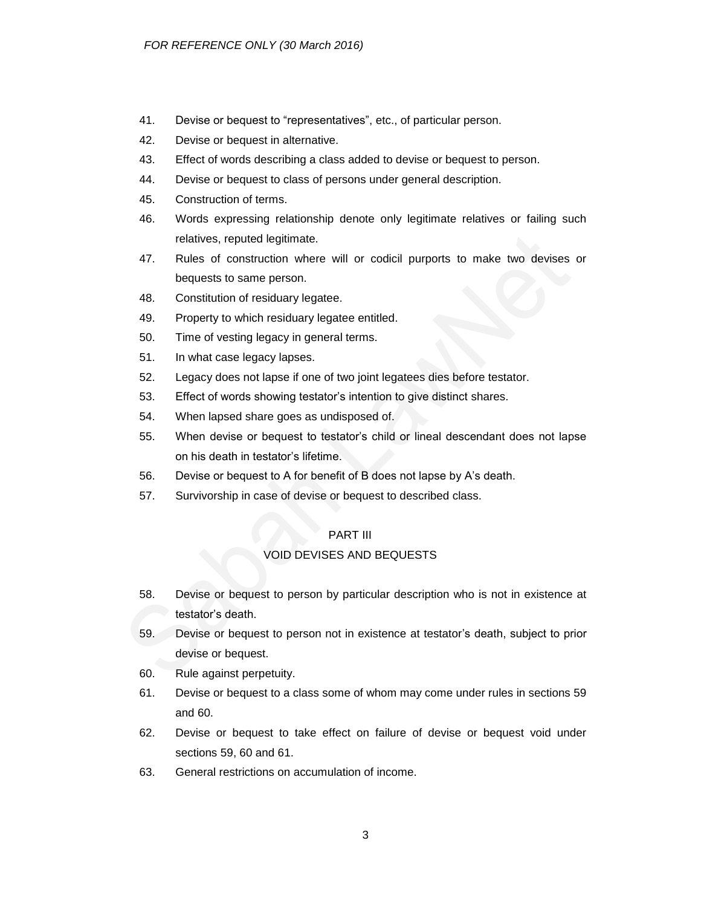- 41. Devise or bequest to "representatives", etc., of particular person.
- 42. Devise or bequest in alternative.
- 43. Effect of words describing a class added to devise or bequest to person.
- 44. Devise or bequest to class of persons under general description.
- 45. Construction of terms.
- 46. Words expressing relationship denote only legitimate relatives or failing such relatives, reputed legitimate.
- 47. Rules of construction where will or codicil purports to make two devises or bequests to same person.
- 48. Constitution of residuary legatee.
- 49. Property to which residuary legatee entitled.
- 50. Time of vesting legacy in general terms.
- 51. In what case legacy lapses.
- 52. Legacy does not lapse if one of two joint legatees dies before testator.
- 53. Effect of words showing testator's intention to give distinct shares.
- 54. When lapsed share goes as undisposed of.
- 55. When devise or bequest to testator's child or lineal descendant does not lapse on his death in testator's lifetime.
- 56. Devise or bequest to A for benefit of B does not lapse by A's death.
- 57. Survivorship in case of devise or bequest to described class.

### PART III

### VOID DEVISES AND BEQUESTS

- 58. Devise or bequest to person by particular description who is not in existence at testator's death.
- 59. Devise or bequest to person not in existence at testator's death, subject to prior devise or bequest.
- 60. Rule against perpetuity.
- 61. Devise or bequest to a class some of whom may come under rules in sections 59 and 60.
- 62. Devise or bequest to take effect on failure of devise or bequest void under sections 59, 60 and 61.
- 63. General restrictions on accumulation of income.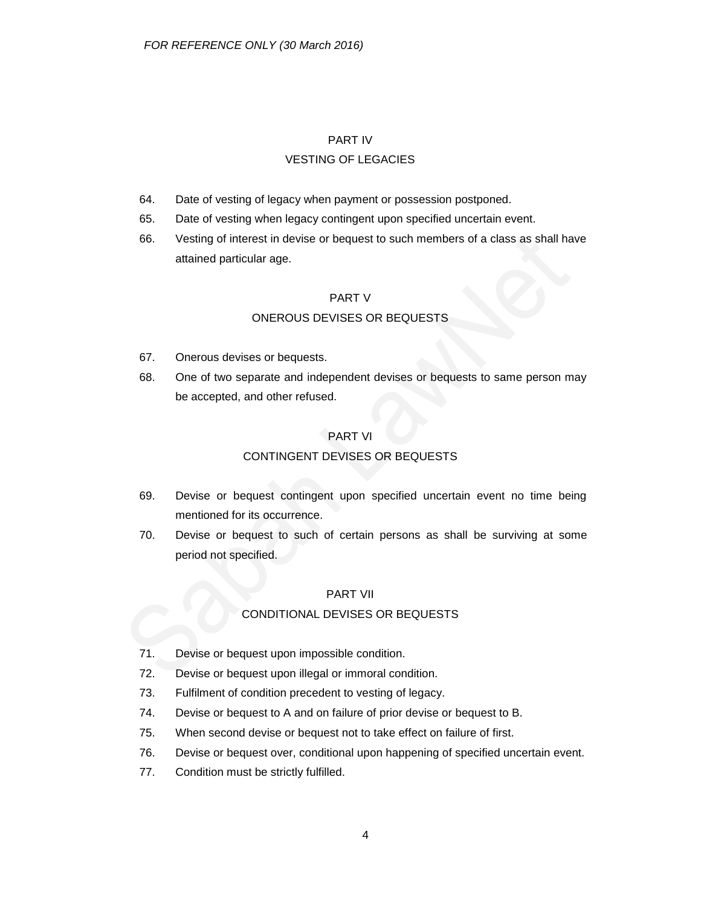### PART IV

#### VESTING OF LEGACIES

- 64. Date of vesting of legacy when payment or possession postponed.
- 65. Date of vesting when legacy contingent upon specified uncertain event.
- 66. Vesting of interest in devise or bequest to such members of a class as shall have attained particular age.

### PART V

### ONEROUS DEVISES OR BEQUESTS

- 67. Onerous devises or bequests.
- 68. One of two separate and independent devises or bequests to same person may be accepted, and other refused.

### PART VI

### CONTINGENT DEVISES OR BEQUESTS

- 69. Devise or bequest contingent upon specified uncertain event no time being mentioned for its occurrence.
- 70. Devise or bequest to such of certain persons as shall be surviving at some period not specified.

### PART VII

### CONDITIONAL DEVISES OR BEQUESTS

- 71. Devise or bequest upon impossible condition.
- 72. Devise or bequest upon illegal or immoral condition.
- 73. Fulfilment of condition precedent to vesting of legacy.
- 74. Devise or bequest to A and on failure of prior devise or bequest to B.
- 75. When second devise or bequest not to take effect on failure of first.
- 76. Devise or bequest over, conditional upon happening of specified uncertain event.
- 77. Condition must be strictly fulfilled.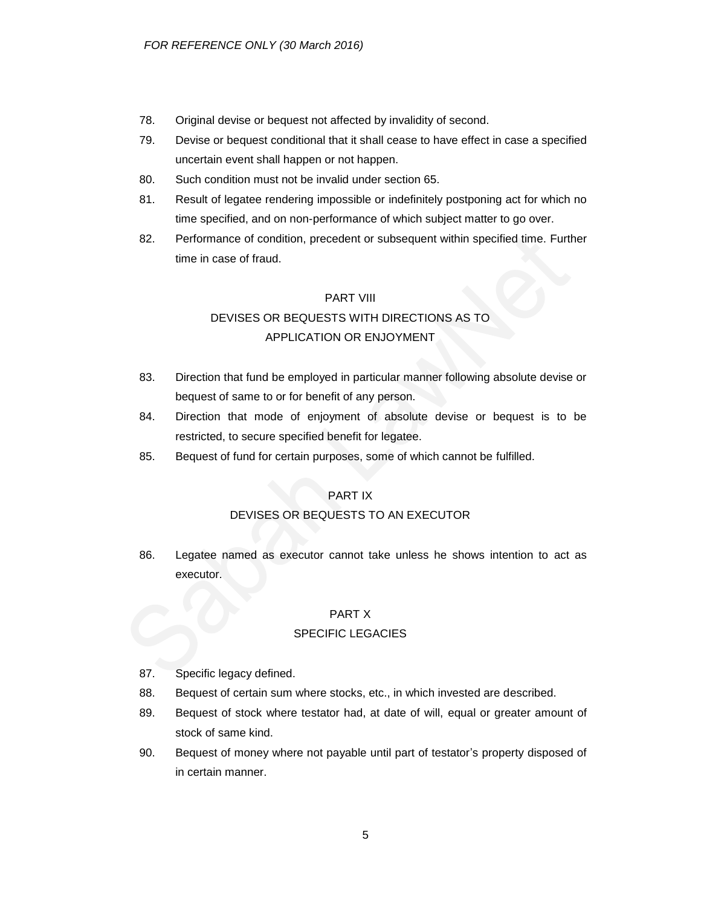- 78. Original devise or bequest not affected by invalidity of second.
- 79. Devise or bequest conditional that it shall cease to have effect in case a specified uncertain event shall happen or not happen.
- 80. Such condition must not be invalid under section 65.
- 81. Result of legatee rendering impossible or indefinitely postponing act for which no time specified, and on non-performance of which subject matter to go over.
- 82. Performance of condition, precedent or subsequent within specified time. Further time in case of fraud.

### PART VIII

## DEVISES OR BEQUESTS WITH DIRECTIONS AS TO APPLICATION OR ENJOYMENT

- 83. Direction that fund be employed in particular manner following absolute devise or bequest of same to or for benefit of any person.
- 84. Direction that mode of enjoyment of absolute devise or bequest is to be restricted, to secure specified benefit for legatee.
- 85. Bequest of fund for certain purposes, some of which cannot be fulfilled.

## PART IX

## DEVISES OR BEQUESTS TO AN EXECUTOR

86. Legatee named as executor cannot take unless he shows intention to act as executor.

### PART X

### SPECIFIC LEGACIES

- 87. Specific legacy defined.
- 88. Bequest of certain sum where stocks, etc., in which invested are described.
- 89. Bequest of stock where testator had, at date of will, equal or greater amount of stock of same kind.
- 90. Bequest of money where not payable until part of testator's property disposed of in certain manner.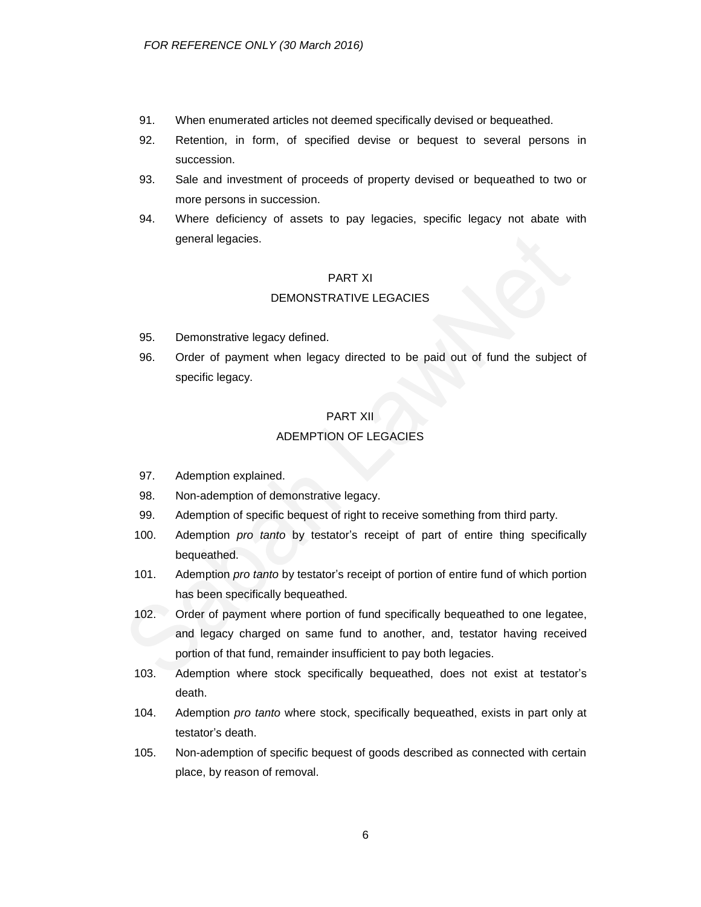- 91. When enumerated articles not deemed specifically devised or bequeathed.
- 92. Retention, in form, of specified devise or bequest to several persons in succession.
- 93. Sale and investment of proceeds of property devised or bequeathed to two or more persons in succession.
- 94. Where deficiency of assets to pay legacies, specific legacy not abate with general legacies.

#### PART XI

#### DEMONSTRATIVE LEGACIES

- 95. Demonstrative legacy defined.
- 96. Order of payment when legacy directed to be paid out of fund the subject of specific legacy.

## PART XII ADEMPTION OF LEGACIES

- 97. Ademption explained.
- 98. Non-ademption of demonstrative legacy.
- 99. Ademption of specific bequest of right to receive something from third party.
- 100. Ademption *pro tanto* by testator's receipt of part of entire thing specifically bequeathed.
- 101. Ademption *pro tanto* by testator's receipt of portion of entire fund of which portion has been specifically bequeathed.
- 102. Order of payment where portion of fund specifically bequeathed to one legatee, and legacy charged on same fund to another, and, testator having received portion of that fund, remainder insufficient to pay both legacies.
- 103. Ademption where stock specifically bequeathed, does not exist at testator's death.
- 104. Ademption *pro tanto* where stock, specifically bequeathed, exists in part only at testator's death.
- 105. Non-ademption of specific bequest of goods described as connected with certain place, by reason of removal.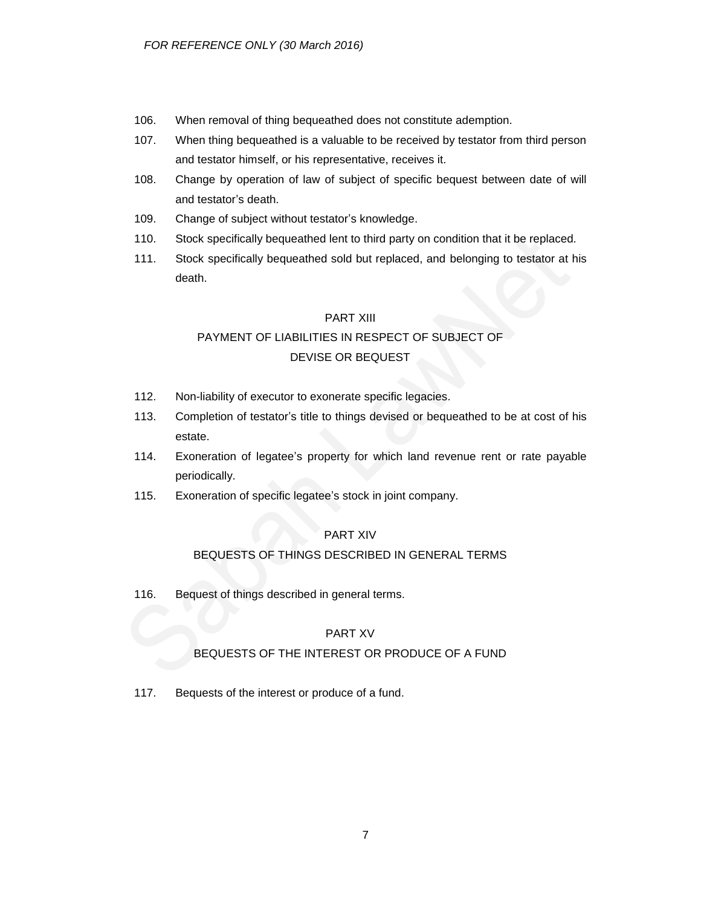- 106. When removal of thing bequeathed does not constitute ademption.
- 107. When thing bequeathed is a valuable to be received by testator from third person and testator himself, or his representative, receives it.
- 108. Change by operation of law of subject of specific bequest between date of will and testator's death.
- 109. Change of subject without testator's knowledge.
- 110. Stock specifically bequeathed lent to third party on condition that it be replaced.
- 111. Stock specifically bequeathed sold but replaced, and belonging to testator at his death.

### PART XIII

## PAYMENT OF LIABILITIES IN RESPECT OF SUBJECT OF DEVISE OR BEQUEST

- 112. Non-liability of executor to exonerate specific legacies.
- 113. Completion of testator's title to things devised or bequeathed to be at cost of his estate.
- 114. Exoneration of legatee's property for which land revenue rent or rate payable periodically.
- 115. Exoneration of specific legatee's stock in joint company.

## PART XIV

## BEQUESTS OF THINGS DESCRIBED IN GENERAL TERMS

116. Bequest of things described in general terms.

## PART XV

## BEQUESTS OF THE INTEREST OR PRODUCE OF A FUND

117. Bequests of the interest or produce of a fund.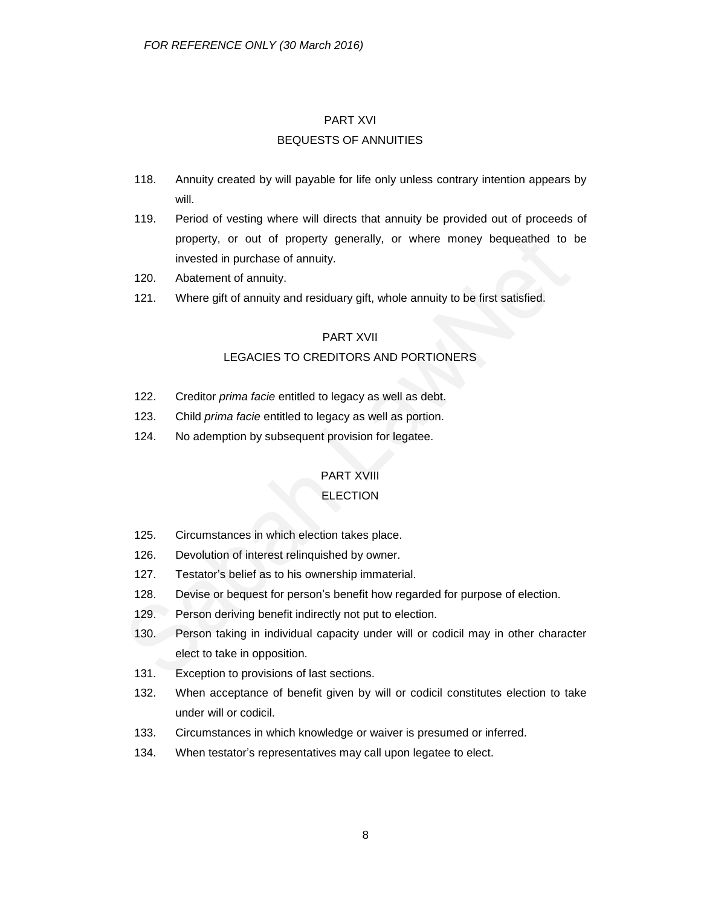#### PART XVI

### BEQUESTS OF ANNUITIES

- 118. Annuity created by will payable for life only unless contrary intention appears by will.
- 119. Period of vesting where will directs that annuity be provided out of proceeds of property, or out of property generally, or where money bequeathed to be invested in purchase of annuity.
- 120. Abatement of annuity.
- 121. Where gift of annuity and residuary gift, whole annuity to be first satisfied.

#### PART XVII

### LEGACIES TO CREDITORS AND PORTIONERS

- 122. Creditor *prima facie* entitled to legacy as well as debt.
- 123. Child *prima facie* entitled to legacy as well as portion.
- 124. No ademption by subsequent provision for legatee.

### PART XVIII

### **ELECTION**

- 125. Circumstances in which election takes place.
- 126. Devolution of interest relinquished by owner.
- 127. Testator's belief as to his ownership immaterial.
- 128. Devise or bequest for person's benefit how regarded for purpose of election.
- 129. Person deriving benefit indirectly not put to election.
- 130. Person taking in individual capacity under will or codicil may in other character elect to take in opposition.
- 131. Exception to provisions of last sections.
- 132. When acceptance of benefit given by will or codicil constitutes election to take under will or codicil.
- 133. Circumstances in which knowledge or waiver is presumed or inferred.
- 134. When testator's representatives may call upon legatee to elect.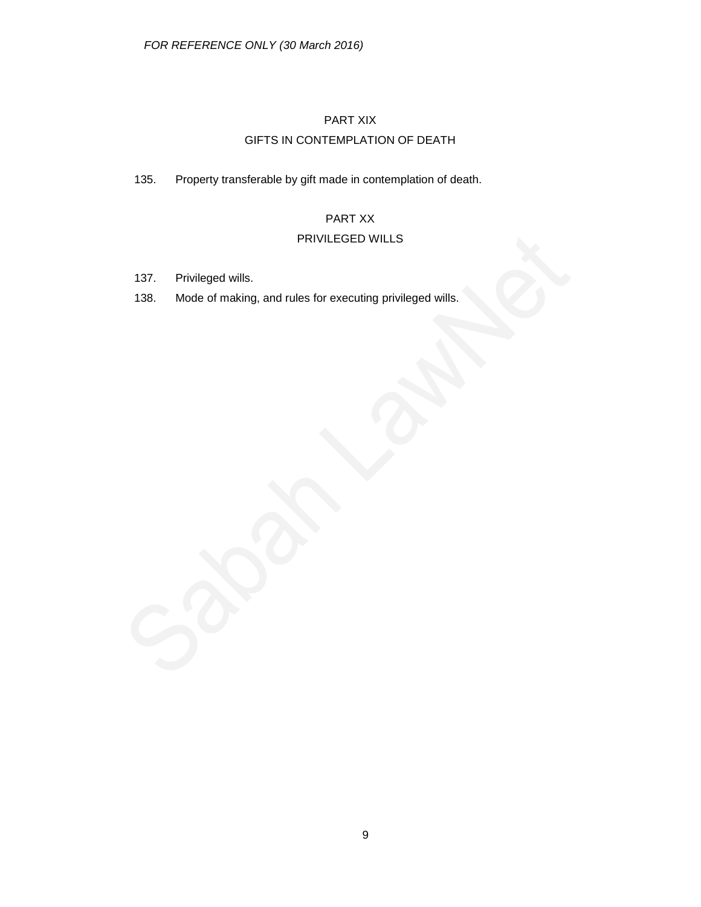## PART XIX GIFTS IN CONTEMPLATION OF DEATH

135. Property transferable by gift made in contemplation of death.

## PART XX

## PRIVILEGED WILLS

- 137. Privileged wills.
- 138. Mode of making, and rules for executing privileged wills.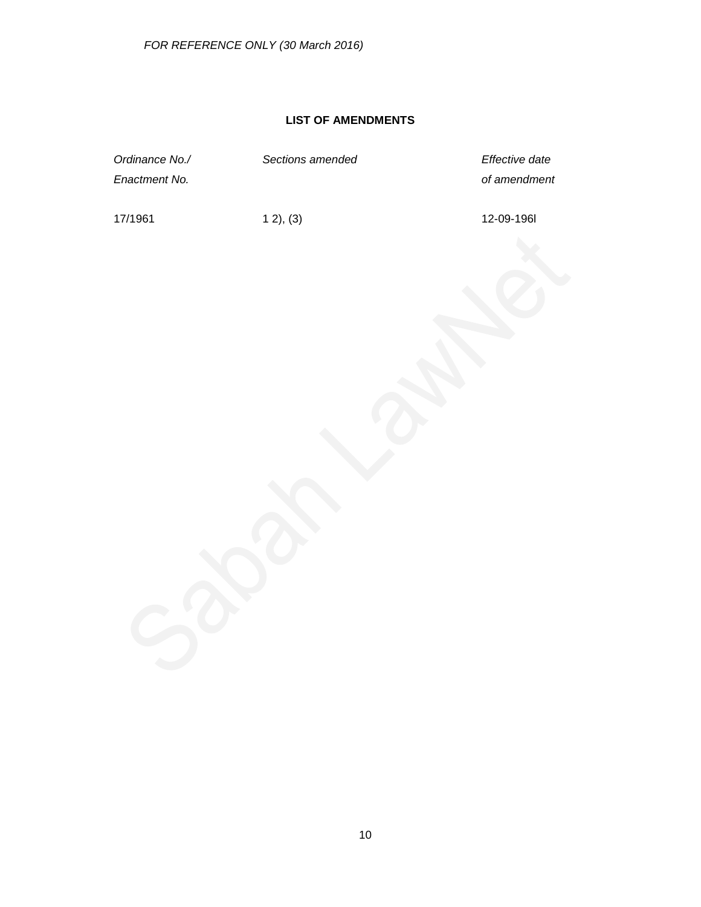## **LIST OF AMENDMENTS**

| Ordinance No./<br>Enactment No. | Sections amended | Effective date<br>of amendment |
|---------------------------------|------------------|--------------------------------|
| 17/1961                         | 12, (3)          | 12-09-1961                     |
|                                 |                  |                                |
|                                 |                  |                                |
|                                 |                  |                                |
|                                 |                  |                                |
|                                 |                  |                                |
|                                 |                  |                                |
|                                 |                  |                                |
|                                 |                  |                                |
|                                 |                  |                                |
|                                 |                  |                                |
|                                 |                  |                                |
|                                 |                  |                                |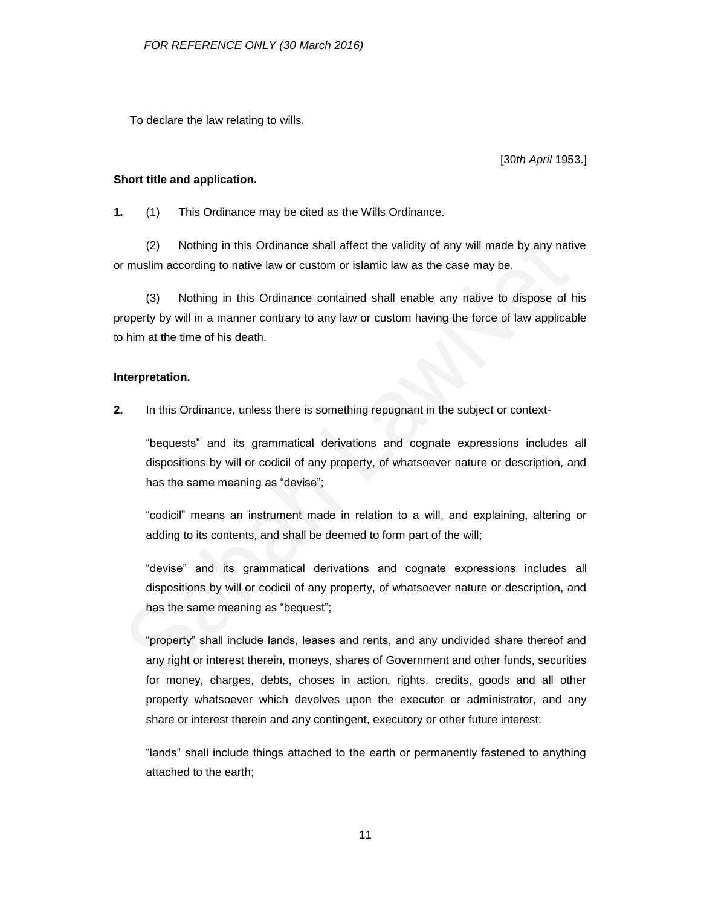To declare the law relating to wills.

[30*th April* 1953.]

#### **Short title and application.**

**1.** (1) This Ordinance may be cited as the Wills Ordinance.

(2) Nothing in this Ordinance shall affect the validity of any will made by any native or muslim according to native law or custom or islamic law as the case may be.

(3) Nothing in this Ordinance contained shall enable any native to dispose of his property by will in a manner contrary to any law or custom having the force of law applicable to him at the time of his death.

### **Interpretation.**

**2.** In this Ordinance, unless there is something repugnant in the subject or context-

"bequests" and its grammatical derivations and cognate expressions includes all dispositions by will or codicil of any property, of whatsoever nature or description, and has the same meaning as "devise";

"codicil" means an instrument made in relation to a will, and explaining, altering or adding to its contents, and shall be deemed to form part of the will;

"devise" and its grammatical derivations and cognate expressions includes all dispositions by will or codicil of any property, of whatsoever nature or description, and has the same meaning as "bequest";

"property" shall include lands, leases and rents, and any undivided share thereof and any right or interest therein, moneys, shares of Government and other funds, securities for money, charges, debts, choses in action, rights, credits, goods and all other property whatsoever which devolves upon the executor or administrator, and any share or interest therein and any contingent, executory or other future interest;

"lands" shall include things attached to the earth or permanently fastened to anything attached to the earth;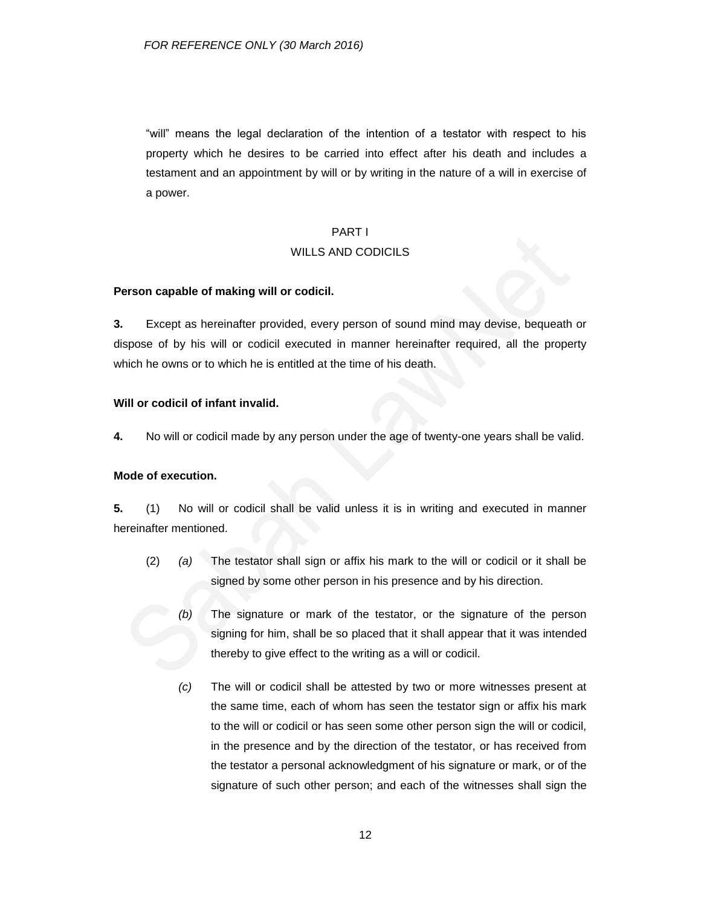"will" means the legal declaration of the intention of a testator with respect to his property which he desires to be carried into effect after his death and includes a testament and an appointment by will or by writing in the nature of a will in exercise of a power.

# PART I WILLS AND CODICILS

#### **Person capable of making will or codicil.**

**3.** Except as hereinafter provided, every person of sound mind may devise, bequeath or dispose of by his will or codicil executed in manner hereinafter required, all the property which he owns or to which he is entitled at the time of his death.

### **Will or codicil of infant invalid.**

**4.** No will or codicil made by any person under the age of twenty-one years shall be valid.

#### **Mode of execution.**

**5.** (1) No will or codicil shall be valid unless it is in writing and executed in manner hereinafter mentioned.

- (2) *(a)* The testator shall sign or affix his mark to the will or codicil or it shall be signed by some other person in his presence and by his direction.
	- *(b)* The signature or mark of the testator, or the signature of the person signing for him, shall be so placed that it shall appear that it was intended thereby to give effect to the writing as a will or codicil.
	- *(c)* The will or codicil shall be attested by two or more witnesses present at the same time, each of whom has seen the testator sign or affix his mark to the will or codicil or has seen some other person sign the will or codicil, in the presence and by the direction of the testator, or has received from the testator a personal acknowledgment of his signature or mark, or of the signature of such other person; and each of the witnesses shall sign the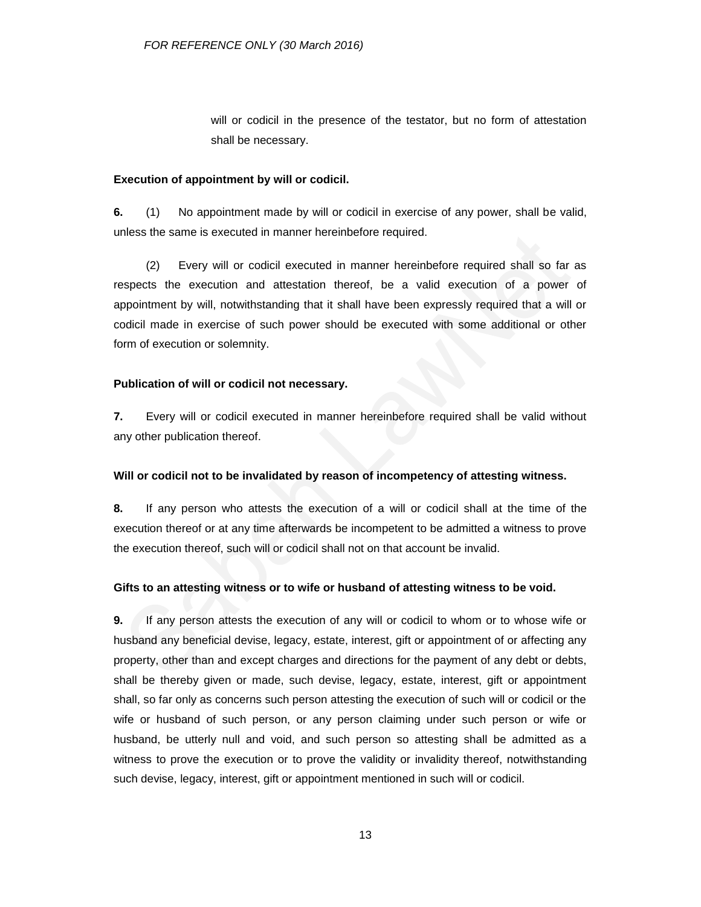will or codicil in the presence of the testator, but no form of attestation shall be necessary.

#### **Execution of appointment by will or codicil.**

**6.** (1) No appointment made by will or codicil in exercise of any power, shall be valid, unless the same is executed in manner hereinbefore required.

(2) Every will or codicil executed in manner hereinbefore required shall so far as respects the execution and attestation thereof, be a valid execution of a power of appointment by will, notwithstanding that it shall have been expressly required that a will or codicil made in exercise of such power should be executed with some additional or other form of execution or solemnity.

#### **Publication of will or codicil not necessary.**

**7.** Every will or codicil executed in manner hereinbefore required shall be valid without any other publication thereof.

### **Will or codicil not to be invalidated by reason of incompetency of attesting witness.**

**8.** If any person who attests the execution of a will or codicil shall at the time of the execution thereof or at any time afterwards be incompetent to be admitted a witness to prove the execution thereof, such will or codicil shall not on that account be invalid.

### **Gifts to an attesting witness or to wife or husband of attesting witness to be void.**

**9.** If any person attests the execution of any will or codicil to whom or to whose wife or husband any beneficial devise, legacy, estate, interest, gift or appointment of or affecting any property, other than and except charges and directions for the payment of any debt or debts, shall be thereby given or made, such devise, legacy, estate, interest, gift or appointment shall, so far only as concerns such person attesting the execution of such will or codicil or the wife or husband of such person, or any person claiming under such person or wife or husband, be utterly null and void, and such person so attesting shall be admitted as a witness to prove the execution or to prove the validity or invalidity thereof, notwithstanding such devise, legacy, interest, gift or appointment mentioned in such will or codicil.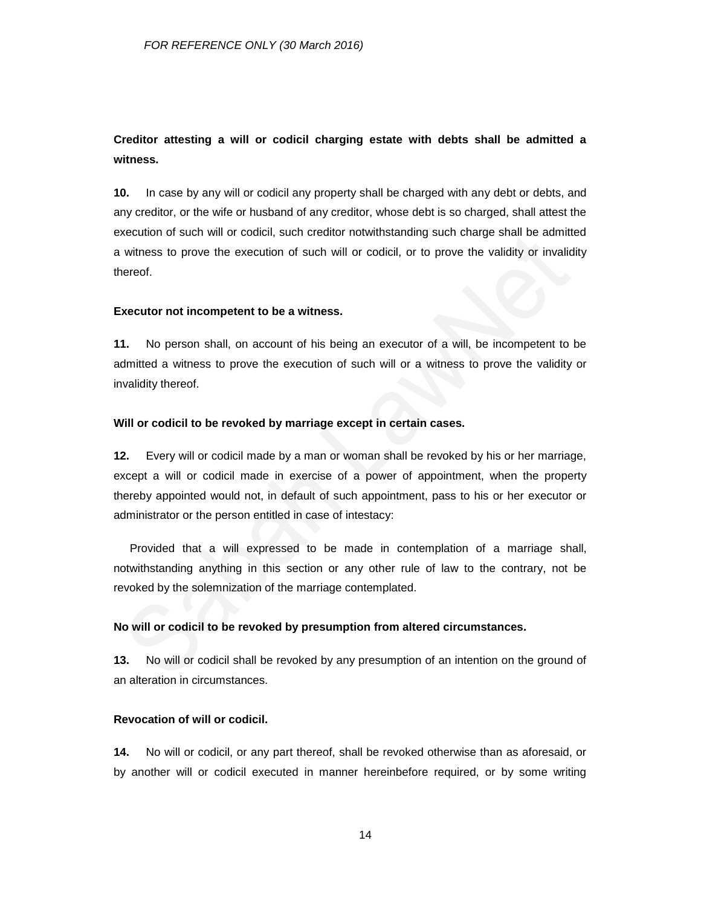## **Creditor attesting a will or codicil charging estate with debts shall be admitted a witness.**

**10.** In case by any will or codicil any property shall be charged with any debt or debts, and any creditor, or the wife or husband of any creditor, whose debt is so charged, shall attest the execution of such will or codicil, such creditor notwithstanding such charge shall be admitted a witness to prove the execution of such will or codicil, or to prove the validity or invalidity thereof.

#### **Executor not incompetent to be a witness.**

**11.** No person shall, on account of his being an executor of a will, be incompetent to be admitted a witness to prove the execution of such will or a witness to prove the validity or invalidity thereof.

#### **Will or codicil to be revoked by marriage except in certain cases.**

**12.** Every will or codicil made by a man or woman shall be revoked by his or her marriage, except a will or codicil made in exercise of a power of appointment, when the property thereby appointed would not, in default of such appointment, pass to his or her executor or administrator or the person entitled in case of intestacy:

Provided that a will expressed to be made in contemplation of a marriage shall, notwithstanding anything in this section or any other rule of law to the contrary, not be revoked by the solemnization of the marriage contemplated.

### **No will or codicil to be revoked by presumption from altered circumstances.**

**13.** No will or codicil shall be revoked by any presumption of an intention on the ground of an alteration in circumstances.

#### **Revocation of will or codicil.**

**14.** No will or codicil, or any part thereof, shall be revoked otherwise than as aforesaid, or by another will or codicil executed in manner hereinbefore required, or by some writing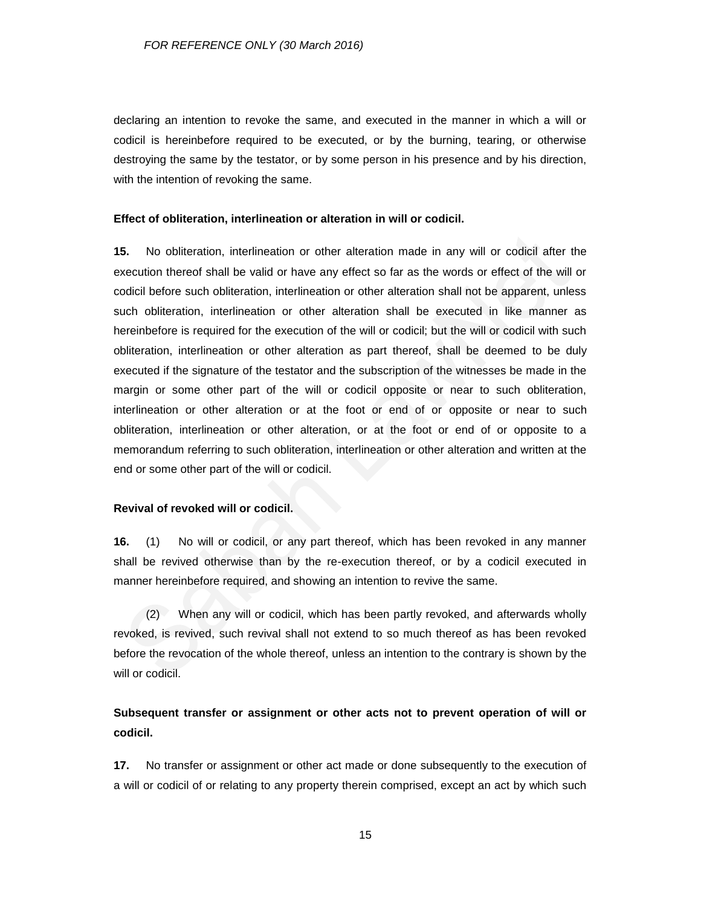declaring an intention to revoke the same, and executed in the manner in which a will or codicil is hereinbefore required to be executed, or by the burning, tearing, or otherwise destroying the same by the testator, or by some person in his presence and by his direction, with the intention of revoking the same.

#### **Effect of obliteration, interlineation or alteration in will or codicil.**

**15.** No obliteration, interlineation or other alteration made in any will or codicil after the execution thereof shall be valid or have any effect so far as the words or effect of the will or codicil before such obliteration, interlineation or other alteration shall not be apparent, unless such obliteration, interlineation or other alteration shall be executed in like manner as hereinbefore is required for the execution of the will or codicil; but the will or codicil with such obliteration, interlineation or other alteration as part thereof, shall be deemed to be duly executed if the signature of the testator and the subscription of the witnesses be made in the margin or some other part of the will or codicil opposite or near to such obliteration, interlineation or other alteration or at the foot or end of or opposite or near to such obliteration, interlineation or other alteration, or at the foot or end of or opposite to a memorandum referring to such obliteration, interlineation or other alteration and written at the end or some other part of the will or codicil.

#### **Revival of revoked will or codicil.**

**16.** (1) No will or codicil, or any part thereof, which has been revoked in any manner shall be revived otherwise than by the re-execution thereof, or by a codicil executed in manner hereinbefore required, and showing an intention to revive the same.

(2) When any will or codicil, which has been partly revoked, and afterwards wholly revoked, is revived, such revival shall not extend to so much thereof as has been revoked before the revocation of the whole thereof, unless an intention to the contrary is shown by the will or codicil.

## **Subsequent transfer or assignment or other acts not to prevent operation of will or codicil.**

**17.** No transfer or assignment or other act made or done subsequently to the execution of a will or codicil of or relating to any property therein comprised, except an act by which such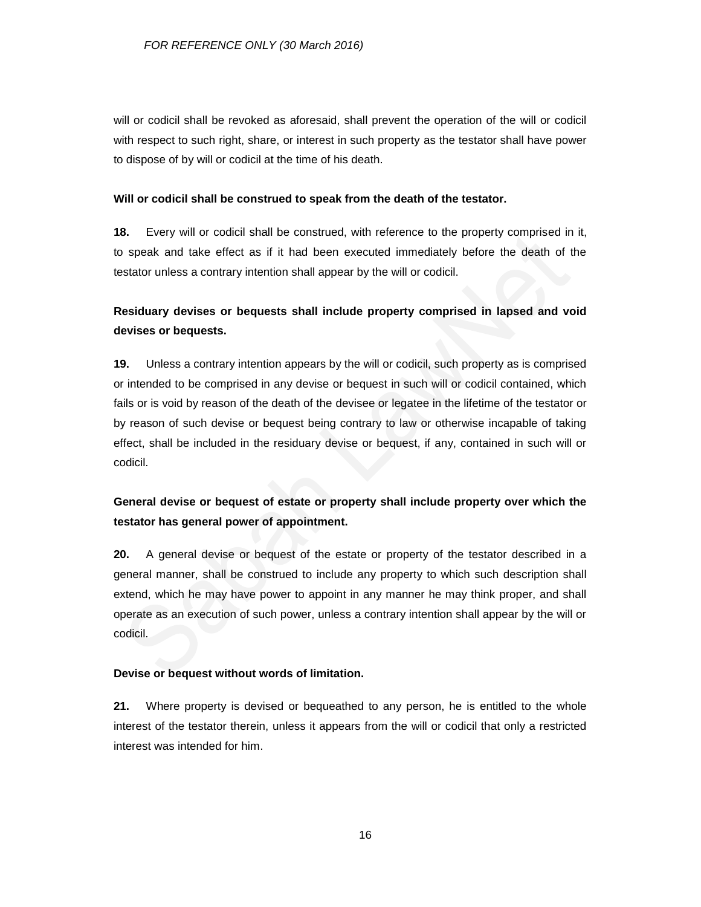will or codicil shall be revoked as aforesaid, shall prevent the operation of the will or codicil with respect to such right, share, or interest in such property as the testator shall have power to dispose of by will or codicil at the time of his death.

#### **Will or codicil shall be construed to speak from the death of the testator.**

**18.** Every will or codicil shall be construed, with reference to the property comprised in it, to speak and take effect as if it had been executed immediately before the death of the testator unless a contrary intention shall appear by the will or codicil.

## **Residuary devises or bequests shall include property comprised in lapsed and void devises or bequests.**

**19.** Unless a contrary intention appears by the will or codicil, such property as is comprised or intended to be comprised in any devise or bequest in such will or codicil contained, which fails or is void by reason of the death of the devisee or legatee in the lifetime of the testator or by reason of such devise or bequest being contrary to law or otherwise incapable of taking effect, shall be included in the residuary devise or bequest, if any, contained in such will or codicil.

## **General devise or bequest of estate or property shall include property over which the testator has general power of appointment.**

**20.** A general devise or bequest of the estate or property of the testator described in a general manner, shall be construed to include any property to which such description shall extend, which he may have power to appoint in any manner he may think proper, and shall operate as an execution of such power, unless a contrary intention shall appear by the will or codicil.

### **Devise or bequest without words of limitation.**

**21.** Where property is devised or bequeathed to any person, he is entitled to the whole interest of the testator therein, unless it appears from the will or codicil that only a restricted interest was intended for him.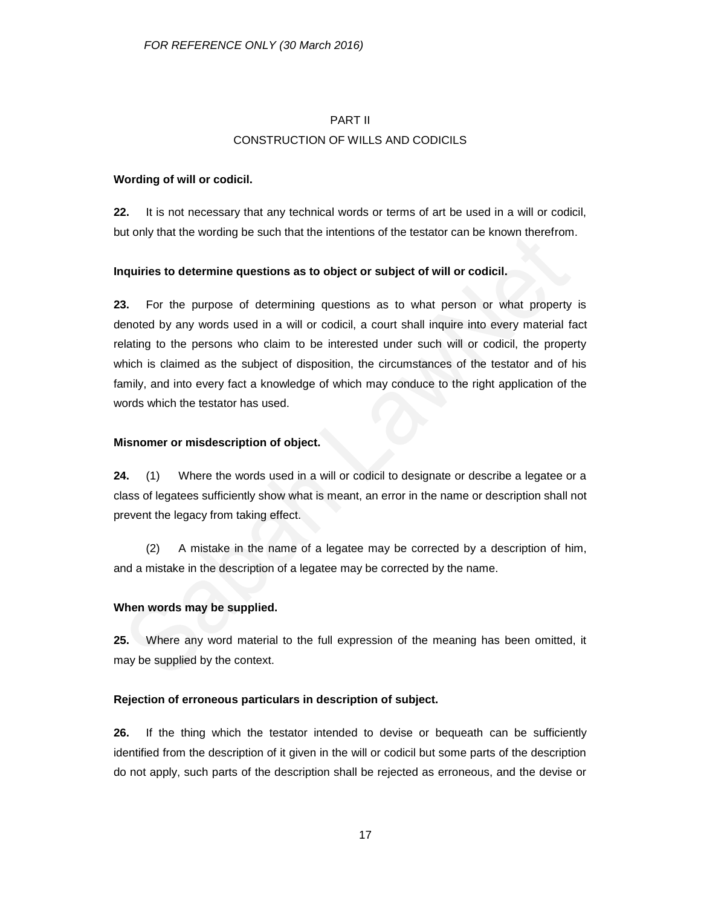## PART II CONSTRUCTION OF WILLS AND CODICILS

### **Wording of will or codicil.**

**22.** It is not necessary that any technical words or terms of art be used in a will or codicil, but only that the wording be such that the intentions of the testator can be known therefrom.

### **Inquiries to determine questions as to object or subject of will or codicil.**

**23.** For the purpose of determining questions as to what person or what property is denoted by any words used in a will or codicil, a court shall inquire into every material fact relating to the persons who claim to be interested under such will or codicil, the property which is claimed as the subject of disposition, the circumstances of the testator and of his family, and into every fact a knowledge of which may conduce to the right application of the words which the testator has used.

### **Misnomer or misdescription of object.**

**24.** (1) Where the words used in a will or codicil to designate or describe a legatee or a class of legatees sufficiently show what is meant, an error in the name or description shall not prevent the legacy from taking effect.

(2) A mistake in the name of a legatee may be corrected by a description of him, and a mistake in the description of a legatee may be corrected by the name.

## **When words may be supplied.**

**25.** Where any word material to the full expression of the meaning has been omitted, it may be supplied by the context.

## **Rejection of erroneous particulars in description of subject.**

**26.** If the thing which the testator intended to devise or bequeath can be sufficiently identified from the description of it given in the will or codicil but some parts of the description do not apply, such parts of the description shall be rejected as erroneous, and the devise or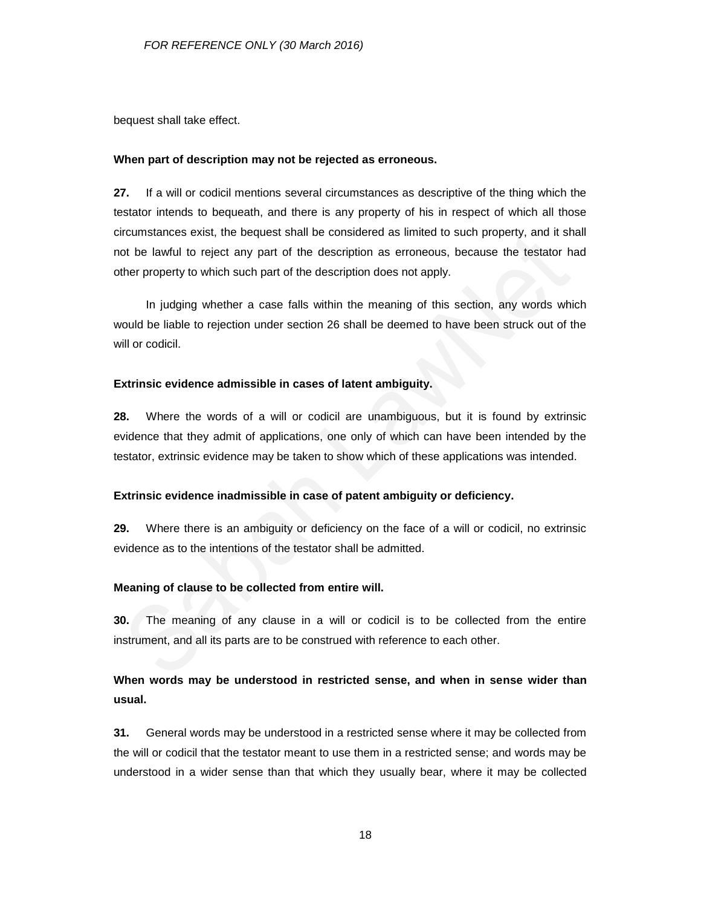bequest shall take effect.

#### **When part of description may not be rejected as erroneous.**

**27.** If a will or codicil mentions several circumstances as descriptive of the thing which the testator intends to bequeath, and there is any property of his in respect of which all those circumstances exist, the bequest shall be considered as limited to such property, and it shall not be lawful to reject any part of the description as erroneous, because the testator had other property to which such part of the description does not apply.

In judging whether a case falls within the meaning of this section, any words which would be liable to rejection under section 26 shall be deemed to have been struck out of the will or codicil.

#### **Extrinsic evidence admissible in cases of latent ambiguity.**

**28.** Where the words of a will or codicil are unambiguous, but it is found by extrinsic evidence that they admit of applications, one only of which can have been intended by the testator, extrinsic evidence may be taken to show which of these applications was intended.

#### **Extrinsic evidence inadmissible in case of patent ambiguity or deficiency.**

**29.** Where there is an ambiguity or deficiency on the face of a will or codicil, no extrinsic evidence as to the intentions of the testator shall be admitted.

#### **Meaning of clause to be collected from entire will.**

**30.** The meaning of any clause in a will or codicil is to be collected from the entire instrument, and all its parts are to be construed with reference to each other.

## **When words may be understood in restricted sense, and when in sense wider than usual.**

**31.** General words may be understood in a restricted sense where it may be collected from the will or codicil that the testator meant to use them in a restricted sense; and words may be understood in a wider sense than that which they usually bear, where it may be collected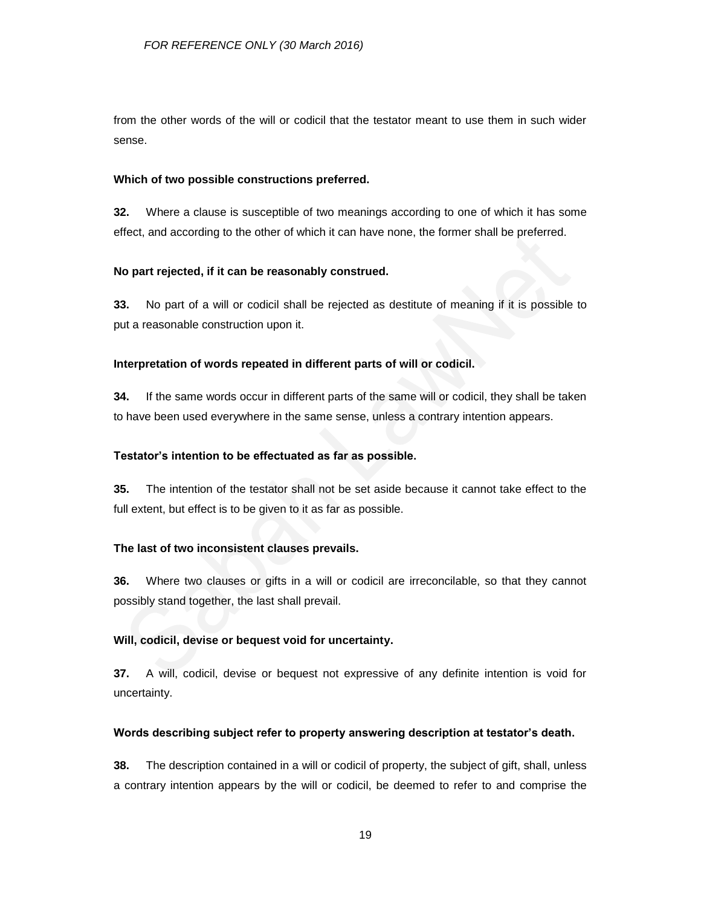from the other words of the will or codicil that the testator meant to use them in such wider sense.

#### **Which of two possible constructions preferred.**

**32.** Where a clause is susceptible of two meanings according to one of which it has some effect, and according to the other of which it can have none, the former shall be preferred.

#### **No part rejected, if it can be reasonably construed.**

**33.** No part of a will or codicil shall be rejected as destitute of meaning if it is possible to put a reasonable construction upon it.

#### **Interpretation of words repeated in different parts of will or codicil.**

**34.** If the same words occur in different parts of the same will or codicil, they shall be taken to have been used everywhere in the same sense, unless a contrary intention appears.

#### **Testator's intention to be effectuated as far as possible.**

**35.** The intention of the testator shall not be set aside because it cannot take effect to the full extent, but effect is to be given to it as far as possible.

#### **The last of two inconsistent clauses prevails.**

**36.** Where two clauses or gifts in a will or codicil are irreconcilable, so that they cannot possibly stand together, the last shall prevail.

#### **Will, codicil, devise or bequest void for uncertainty.**

**37.** A will, codicil, devise or bequest not expressive of any definite intention is void for uncertainty.

#### **Words describing subject refer to property answering description at testator's death.**

**38.** The description contained in a will or codicil of property, the subject of gift, shall, unless a contrary intention appears by the will or codicil, be deemed to refer to and comprise the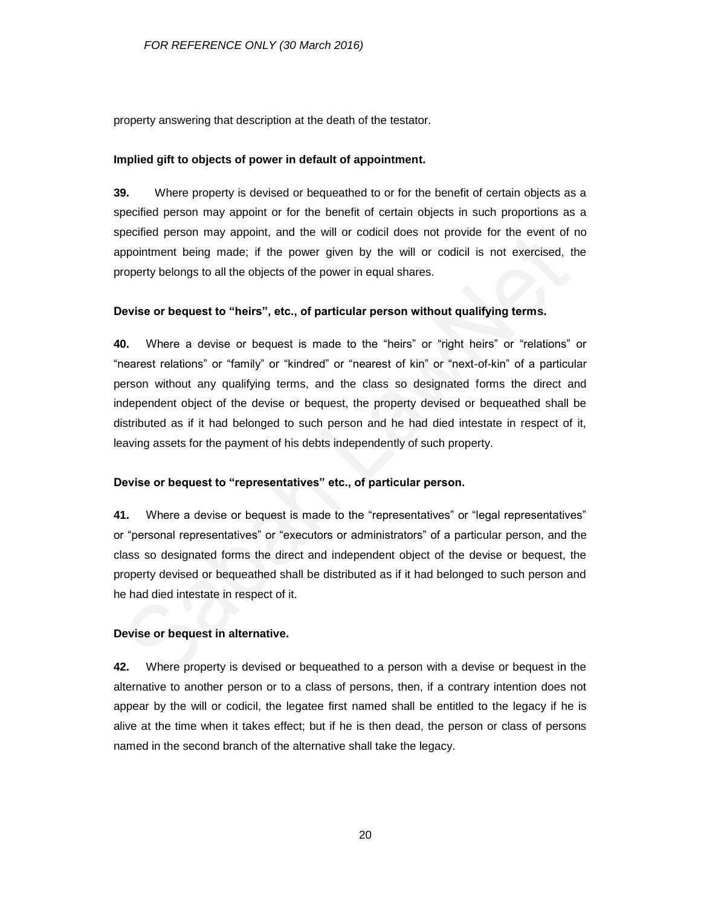property answering that description at the death of the testator.

#### **Implied gift to objects of power in default of appointment.**

**39.** Where property is devised or bequeathed to or for the benefit of certain objects as a specified person may appoint or for the benefit of certain objects in such proportions as a specified person may appoint, and the will or codicil does not provide for the event of no appointment being made; if the power given by the will or codicil is not exercised, the property belongs to all the objects of the power in equal shares.

#### **Devise or bequest to "heirs", etc., of particular person without qualifying terms.**

**40.** Where a devise or bequest is made to the "heirs" or "right heirs" or "relations" or "nearest relations" or "family" or "kindred" or "nearest of kin" or "next-of-kin" of a particular person without any qualifying terms, and the class so designated forms the direct and independent object of the devise or bequest, the property devised or bequeathed shall be distributed as if it had belonged to such person and he had died intestate in respect of it, leaving assets for the payment of his debts independently of such property.

#### **Devise or bequest to "representatives" etc., of particular person.**

**41.** Where a devise or bequest is made to the "representatives" or "legal representatives" or "personal representatives" or "executors or administrators" of a particular person, and the class so designated forms the direct and independent object of the devise or bequest, the property devised or bequeathed shall be distributed as if it had belonged to such person and he had died intestate in respect of it.

#### **Devise or bequest in alternative.**

**42.** Where property is devised or bequeathed to a person with a devise or bequest in the alternative to another person or to a class of persons, then, if a contrary intention does not appear by the will or codicil, the legatee first named shall be entitled to the legacy if he is alive at the time when it takes effect; but if he is then dead, the person or class of persons named in the second branch of the alternative shall take the legacy.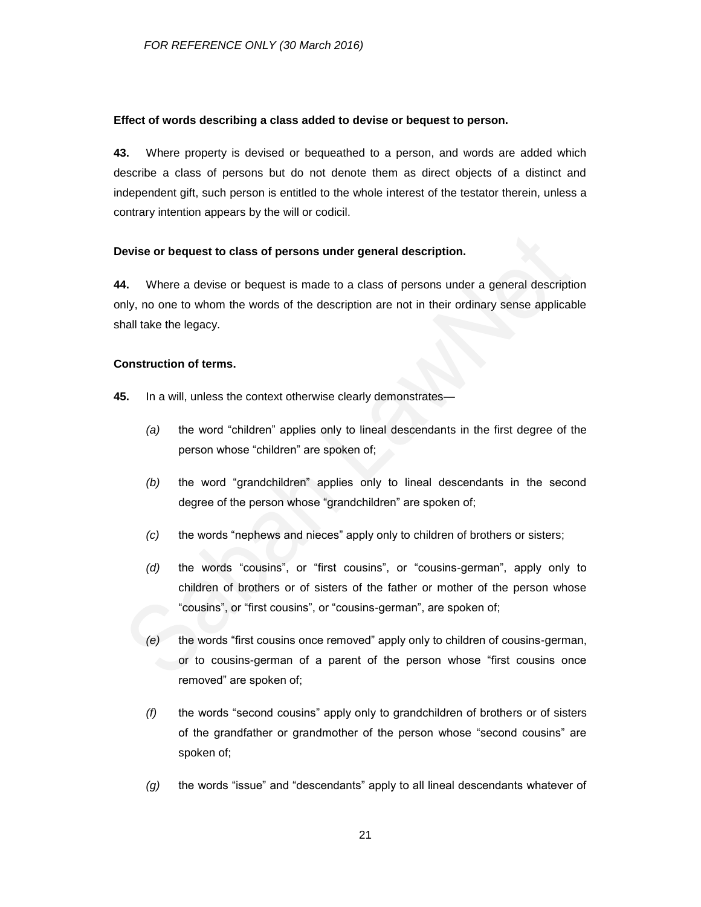#### **Effect of words describing a class added to devise or bequest to person.**

**43.** Where property is devised or bequeathed to a person, and words are added which describe a class of persons but do not denote them as direct objects of a distinct and independent gift, such person is entitled to the whole interest of the testator therein, unless a contrary intention appears by the will or codicil.

### **Devise or bequest to class of persons under general description.**

**44.** Where a devise or bequest is made to a class of persons under a general description only, no one to whom the words of the description are not in their ordinary sense applicable shall take the legacy.

#### **Construction of terms.**

- **45.** In a will, unless the context otherwise clearly demonstrates—
	- *(a)* the word "children" applies only to lineal descendants in the first degree of the person whose "children" are spoken of;
	- *(b)* the word "grandchildren" applies only to lineal descendants in the second degree of the person whose "grandchildren" are spoken of;
	- *(c)* the words "nephews and nieces" apply only to children of brothers or sisters;
	- *(d)* the words "cousins", or "first cousins", or "cousins-german", apply only to children of brothers or of sisters of the father or mother of the person whose "cousins", or "first cousins", or "cousins-german", are spoken of;
	- *(e)* the words "first cousins once removed" apply only to children of cousins-german, or to cousins-german of a parent of the person whose "first cousins once removed" are spoken of;
	- *(f)* the words "second cousins" apply only to grandchildren of brothers or of sisters of the grandfather or grandmother of the person whose "second cousins" are spoken of;
	- *(g)* the words "issue" and "descendants" apply to all lineal descendants whatever of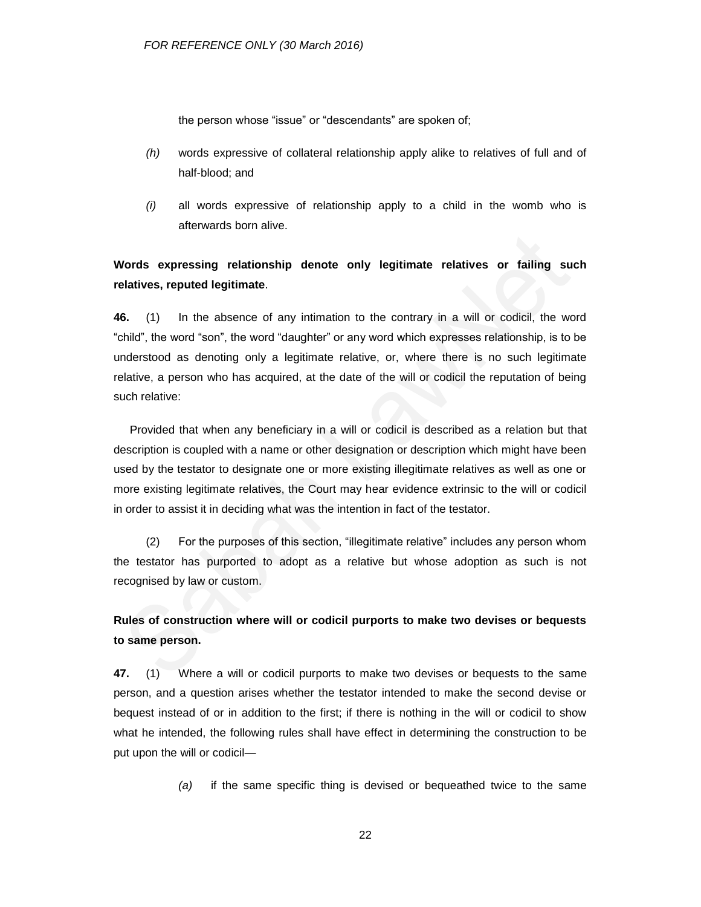the person whose "issue" or "descendants" are spoken of;

- *(h)* words expressive of collateral relationship apply alike to relatives of full and of half-blood; and
- *(i)* all words expressive of relationship apply to a child in the womb who is afterwards born alive.

## **Words expressing relationship denote only legitimate relatives or failing such relatives, reputed legitimate**.

**46.** (1) In the absence of any intimation to the contrary in a will or codicil, the word "child", the word "son", the word "daughter" or any word which expresses relationship, is to be understood as denoting only a legitimate relative, or, where there is no such legitimate relative, a person who has acquired, at the date of the will or codicil the reputation of being such relative:

Provided that when any beneficiary in a will or codicil is described as a relation but that description is coupled with a name or other designation or description which might have been used by the testator to designate one or more existing illegitimate relatives as well as one or more existing legitimate relatives, the Court may hear evidence extrinsic to the will or codicil in order to assist it in deciding what was the intention in fact of the testator.

(2) For the purposes of this section, "illegitimate relative" includes any person whom the testator has purported to adopt as a relative but whose adoption as such is not recognised by law or custom.

## **Rules of construction where will or codicil purports to make two devises or bequests to same person.**

**47.** (1) Where a will or codicil purports to make two devises or bequests to the same person, and a question arises whether the testator intended to make the second devise or bequest instead of or in addition to the first; if there is nothing in the will or codicil to show what he intended, the following rules shall have effect in determining the construction to be put upon the will or codicil—

*(a)* if the same specific thing is devised or bequeathed twice to the same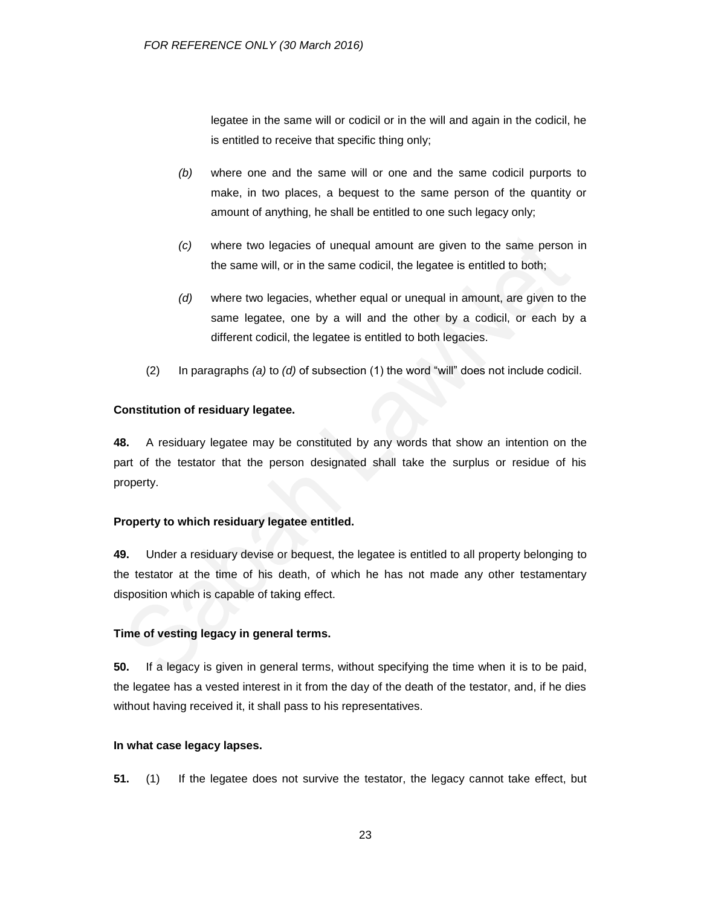legatee in the same will or codicil or in the will and again in the codicil, he is entitled to receive that specific thing only;

- *(b)* where one and the same will or one and the same codicil purports to make, in two places, a bequest to the same person of the quantity or amount of anything, he shall be entitled to one such legacy only;
- *(c)* where two legacies of unequal amount are given to the same person in the same will, or in the same codicil, the legatee is entitled to both;
- *(d)* where two legacies, whether equal or unequal in amount, are given to the same legatee, one by a will and the other by a codicil, or each by a different codicil, the legatee is entitled to both legacies.
- (2) In paragraphs *(a)* to *(d)* of subsection (1) the word "will" does not include codicil.

## **Constitution of residuary legatee.**

**48.** A residuary legatee may be constituted by any words that show an intention on the part of the testator that the person designated shall take the surplus or residue of his property.

### **Property to which residuary legatee entitled.**

**49.** Under a residuary devise or bequest, the legatee is entitled to all property belonging to the testator at the time of his death, of which he has not made any other testamentary disposition which is capable of taking effect.

### **Time of vesting legacy in general terms.**

**50.** If a legacy is given in general terms, without specifying the time when it is to be paid, the legatee has a vested interest in it from the day of the death of the testator, and, if he dies without having received it, it shall pass to his representatives.

### **In what case legacy lapses.**

**51.** (1) If the legatee does not survive the testator, the legacy cannot take effect, but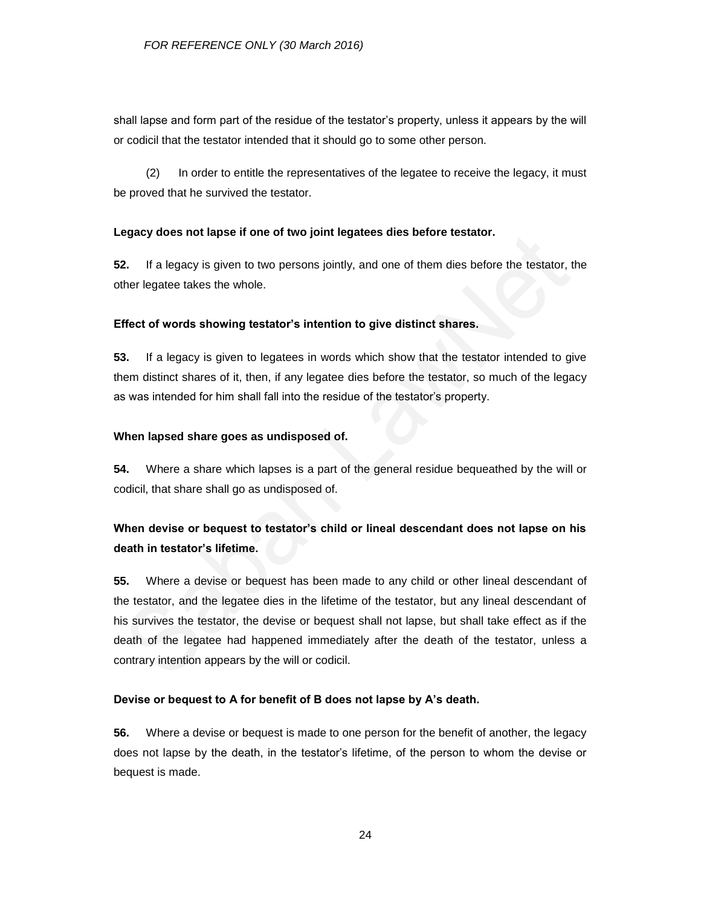shall lapse and form part of the residue of the testator's property, unless it appears by the will or codicil that the testator intended that it should go to some other person.

(2) In order to entitle the representatives of the legatee to receive the legacy, it must be proved that he survived the testator.

#### **Legacy does not lapse if one of two joint legatees dies before testator.**

**52.** If a legacy is given to two persons jointly, and one of them dies before the testator, the other legatee takes the whole.

#### **Effect of words showing testator's intention to give distinct shares.**

**53.** If a legacy is given to legatees in words which show that the testator intended to give them distinct shares of it, then, if any legatee dies before the testator, so much of the legacy as was intended for him shall fall into the residue of the testator's property.

#### **When lapsed share goes as undisposed of.**

**54.** Where a share which lapses is a part of the general residue bequeathed by the will or codicil, that share shall go as undisposed of.

## **When devise or bequest to testator's child or lineal descendant does not lapse on his death in testator's lifetime.**

**55.** Where a devise or bequest has been made to any child or other lineal descendant of the testator, and the legatee dies in the lifetime of the testator, but any lineal descendant of his survives the testator, the devise or bequest shall not lapse, but shall take effect as if the death of the legatee had happened immediately after the death of the testator, unless a contrary intention appears by the will or codicil.

#### **Devise or bequest to A for benefit of B does not lapse by A's death.**

**56.** Where a devise or bequest is made to one person for the benefit of another, the legacy does not lapse by the death, in the testator's lifetime, of the person to whom the devise or bequest is made.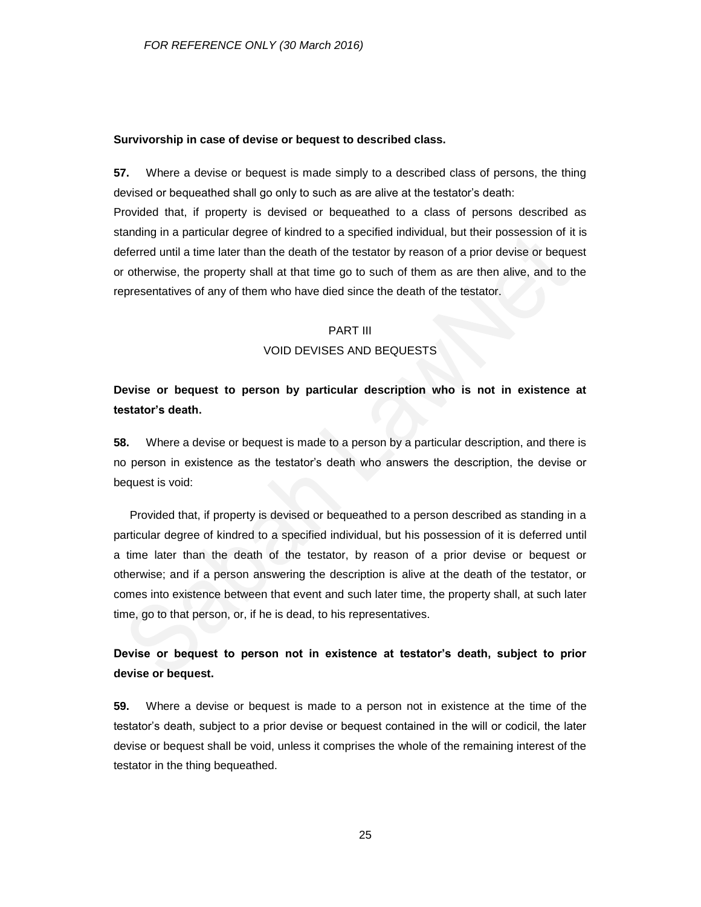#### **Survivorship in case of devise or bequest to described class.**

**57.** Where a devise or bequest is made simply to a described class of persons, the thing devised or bequeathed shall go only to such as are alive at the testator's death:

Provided that, if property is devised or bequeathed to a class of persons described as standing in a particular degree of kindred to a specified individual, but their possession of it is deferred until a time later than the death of the testator by reason of a prior devise or bequest or otherwise, the property shall at that time go to such of them as are then alive, and to the representatives of any of them who have died since the death of the testator.

## PART III VOID DEVISES AND BEQUESTS

## **Devise or bequest to person by particular description who is not in existence at testator's death.**

**58.** Where a devise or bequest is made to a person by a particular description, and there is no person in existence as the testator's death who answers the description, the devise or bequest is void:

Provided that, if property is devised or bequeathed to a person described as standing in a particular degree of kindred to a specified individual, but his possession of it is deferred until a time later than the death of the testator, by reason of a prior devise or bequest or otherwise; and if a person answering the description is alive at the death of the testator, or comes into existence between that event and such later time, the property shall, at such later time, go to that person, or, if he is dead, to his representatives.

## **Devise or bequest to person not in existence at testator's death, subject to prior devise or bequest.**

**59.** Where a devise or bequest is made to a person not in existence at the time of the testator's death, subject to a prior devise or bequest contained in the will or codicil, the later devise or bequest shall be void, unless it comprises the whole of the remaining interest of the testator in the thing bequeathed.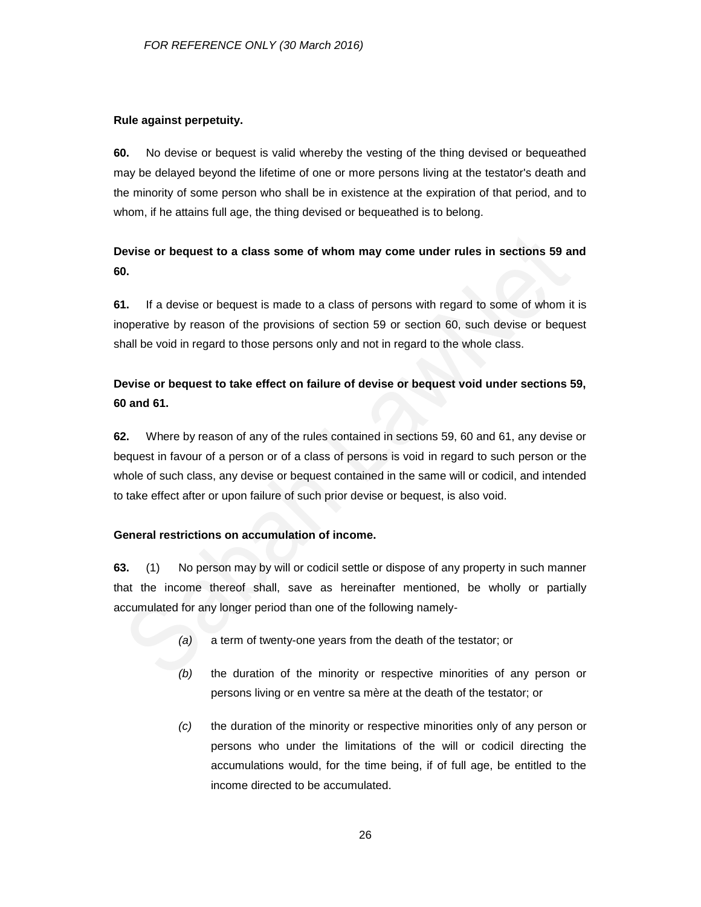### **Rule against perpetuity.**

**60.** No devise or bequest is valid whereby the vesting of the thing devised or bequeathed may be delayed beyond the lifetime of one or more persons living at the testator's death and the minority of some person who shall be in existence at the expiration of that period, and to whom, if he attains full age, the thing devised or bequeathed is to belong.

## **Devise or bequest to a class some of whom may come under rules in sections 59 and 60.**

**61.** If a devise or bequest is made to a class of persons with regard to some of whom it is inoperative by reason of the provisions of section 59 or section 60, such devise or bequest shall be void in regard to those persons only and not in regard to the whole class.

## **Devise or bequest to take effect on failure of devise or bequest void under sections 59, 60 and 61.**

**62.** Where by reason of any of the rules contained in sections 59, 60 and 61, any devise or bequest in favour of a person or of a class of persons is void in regard to such person or the whole of such class, any devise or bequest contained in the same will or codicil, and intended to take effect after or upon failure of such prior devise or bequest, is also void.

### **General restrictions on accumulation of income.**

**63.** (1) No person may by will or codicil settle or dispose of any property in such manner that the income thereof shall, save as hereinafter mentioned, be wholly or partially accumulated for any longer period than one of the following namely-

- *(a)* a term of twenty-one years from the death of the testator; or
- *(b)* the duration of the minority or respective minorities of any person or persons living or en ventre sa mère at the death of the testator; or
- *(c)* the duration of the minority or respective minorities only of any person or persons who under the limitations of the will or codicil directing the accumulations would, for the time being, if of full age, be entitled to the income directed to be accumulated.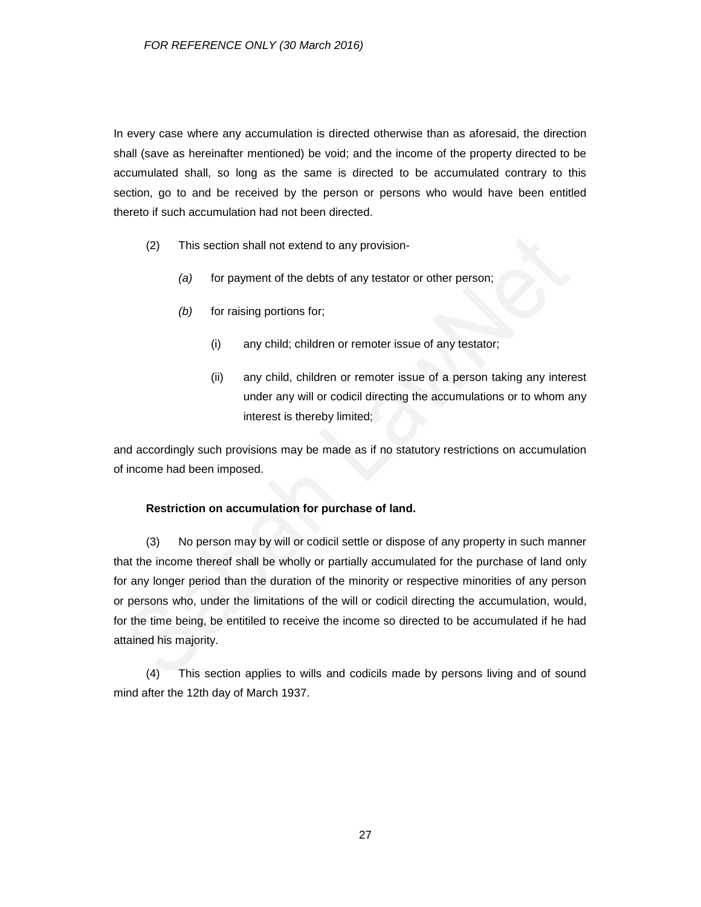In every case where any accumulation is directed otherwise than as aforesaid, the direction shall (save as hereinafter mentioned) be void; and the income of the property directed to be accumulated shall, so long as the same is directed to be accumulated contrary to this section, go to and be received by the person or persons who would have been entitled thereto if such accumulation had not been directed.

- (2) This section shall not extend to any provision-
	- *(a)* for payment of the debts of any testator or other person;
	- *(b)* for raising portions for;
		- (i) any child; children or remoter issue of any testator;
		- (ii) any child, children or remoter issue of a person taking any interest under any will or codicil directing the accumulations or to whom any interest is thereby limited;

and accordingly such provisions may be made as if no statutory restrictions on accumulation of income had been imposed.

### **Restriction on accumulation for purchase of land.**

(3) No person may by will or codicil settle or dispose of any property in such manner that the income thereof shall be wholly or partially accumulated for the purchase of land only for any longer period than the duration of the minority or respective minorities of any person or persons who, under the limitations of the will or codicil directing the accumulation, would, for the time being, be entitiled to receive the income so directed to be accumulated if he had attained his majority.

(4) This section applies to wills and codicils made by persons living and of sound mind after the 12th day of March 1937.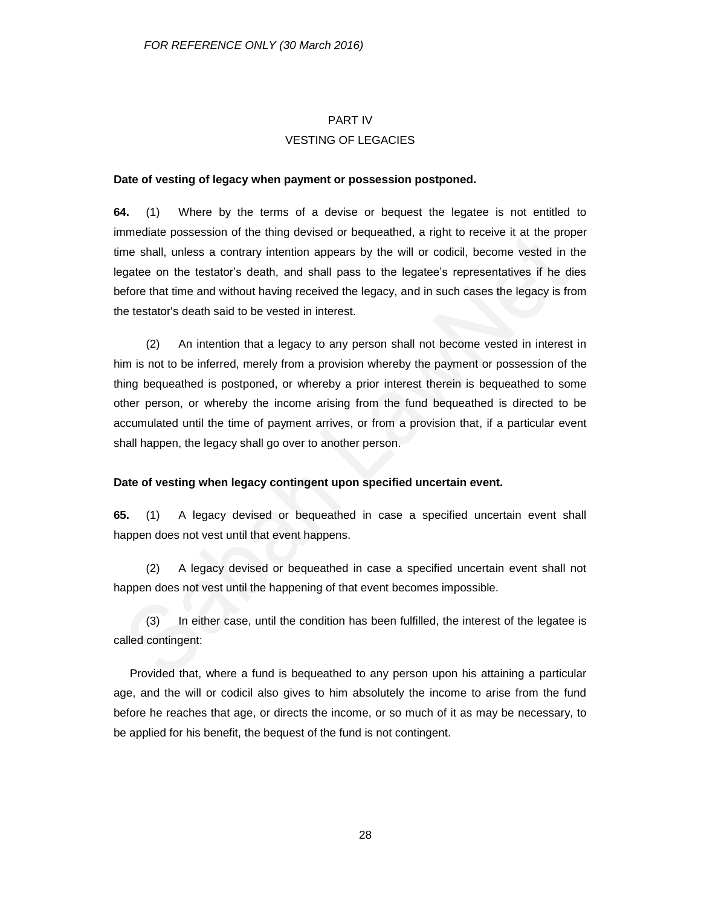#### PART IV

### VESTING OF LEGACIES

#### **Date of vesting of legacy when payment or possession postponed.**

**64.** (1) Where by the terms of a devise or bequest the legatee is not entitled to immediate possession of the thing devised or bequeathed, a right to receive it at the proper time shall, unless a contrary intention appears by the will or codicil, become vested in the legatee on the testator's death, and shall pass to the legatee's representatives if he dies before that time and without having received the legacy, and in such cases the legacy is from the testator's death said to be vested in interest.

(2) An intention that a legacy to any person shall not become vested in interest in him is not to be inferred, merely from a provision whereby the payment or possession of the thing bequeathed is postponed, or whereby a prior interest therein is bequeathed to some other person, or whereby the income arising from the fund bequeathed is directed to be accumulated until the time of payment arrives, or from a provision that, if a particular event shall happen, the legacy shall go over to another person.

### **Date of vesting when legacy contingent upon specified uncertain event.**

**65.** (1) A legacy devised or bequeathed in case a specified uncertain event shall happen does not vest until that event happens.

(2) A legacy devised or bequeathed in case a specified uncertain event shall not happen does not vest until the happening of that event becomes impossible.

(3) In either case, until the condition has been fulfilled, the interest of the legatee is called contingent:

Provided that, where a fund is bequeathed to any person upon his attaining a particular age, and the will or codicil also gives to him absolutely the income to arise from the fund before he reaches that age, or directs the income, or so much of it as may be necessary, to be applied for his benefit, the bequest of the fund is not contingent.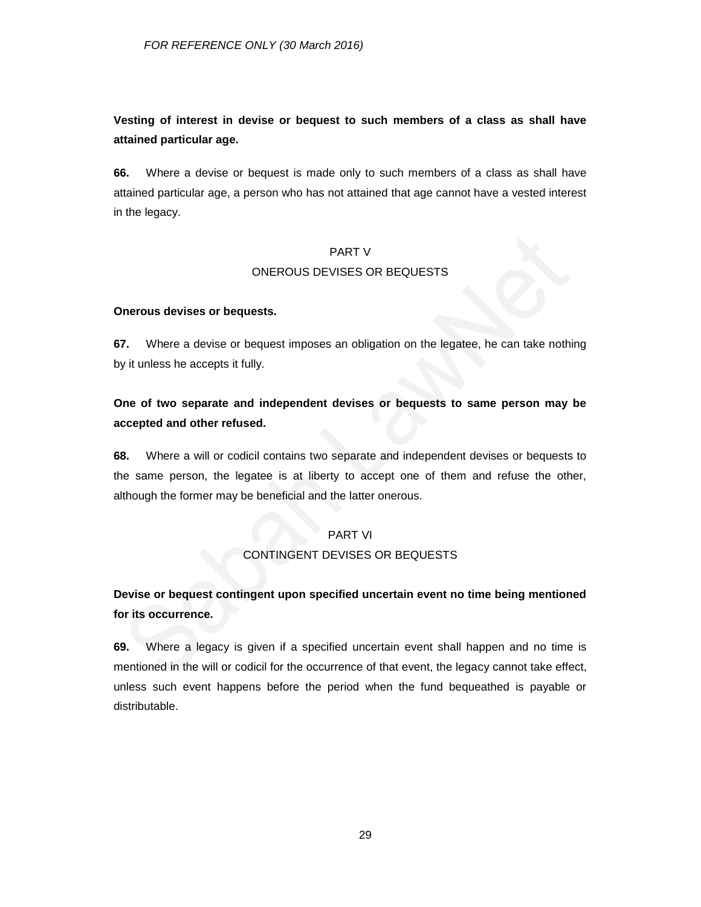**Vesting of interest in devise or bequest to such members of a class as shall have attained particular age.**

**66.** Where a devise or bequest is made only to such members of a class as shall have attained particular age, a person who has not attained that age cannot have a vested interest in the legacy.

## PART V ONEROUS DEVISES OR BEQUESTS

### **Onerous devises or bequests.**

**67.** Where a devise or bequest imposes an obligation on the legatee, he can take nothing by it unless he accepts it fully.

## **One of two separate and independent devises or bequests to same person may be accepted and other refused.**

**68.** Where a will or codicil contains two separate and independent devises or bequests to the same person, the legatee is at liberty to accept one of them and refuse the other, although the former may be beneficial and the latter onerous.

## PART VI

### CONTINGENT DEVISES OR BEQUESTS

## **Devise or bequest contingent upon specified uncertain event no time being mentioned for its occurrence.**

**69.** Where a legacy is given if a specified uncertain event shall happen and no time is mentioned in the will or codicil for the occurrence of that event, the legacy cannot take effect, unless such event happens before the period when the fund bequeathed is payable or distributable.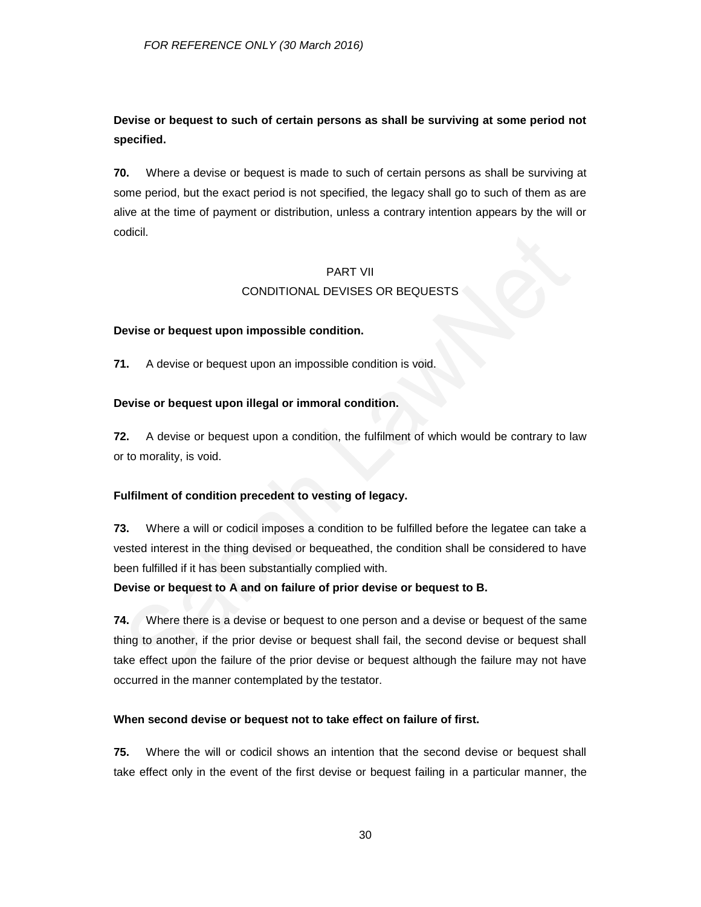## **Devise or bequest to such of certain persons as shall be surviving at some period not specified.**

**70.** Where a devise or bequest is made to such of certain persons as shall be surviving at some period, but the exact period is not specified, the legacy shall go to such of them as are alive at the time of payment or distribution, unless a contrary intention appears by the will or codicil.

### PART VII

## CONDITIONAL DEVISES OR BEQUESTS

## **Devise or bequest upon impossible condition.**

**71.** A devise or bequest upon an impossible condition is void.

## **Devise or bequest upon illegal or immoral condition.**

**72.** A devise or bequest upon a condition, the fulfilment of which would be contrary to law or to morality, is void.

## **Fulfilment of condition precedent to vesting of legacy.**

**73.** Where a will or codicil imposes a condition to be fulfilled before the legatee can take a vested interest in the thing devised or bequeathed, the condition shall be considered to have been fulfilled if it has been substantially complied with.

### **Devise or bequest to A and on failure of prior devise or bequest to B.**

**74.** Where there is a devise or bequest to one person and a devise or bequest of the same thing to another, if the prior devise or bequest shall fail, the second devise or bequest shall take effect upon the failure of the prior devise or bequest although the failure may not have occurred in the manner contemplated by the testator.

### **When second devise or bequest not to take effect on failure of first.**

**75.** Where the will or codicil shows an intention that the second devise or bequest shall take effect only in the event of the first devise or bequest failing in a particular manner, the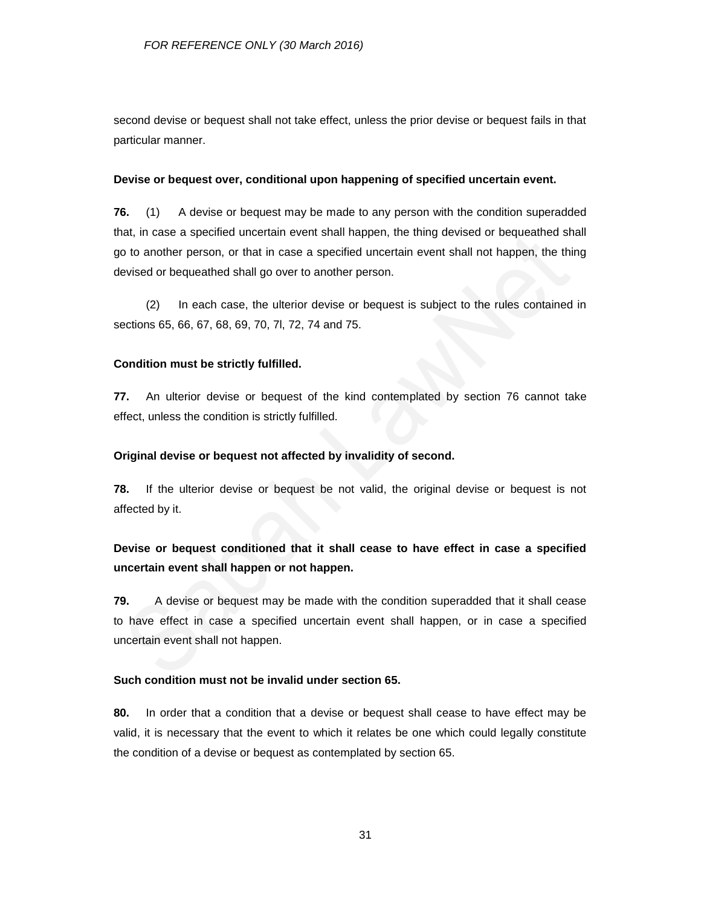second devise or bequest shall not take effect, unless the prior devise or bequest fails in that particular manner.

#### **Devise or bequest over, conditional upon happening of specified uncertain event.**

**76.** (1) A devise or bequest may be made to any person with the condition superadded that, in case a specified uncertain event shall happen, the thing devised or bequeathed shall go to another person, or that in case a specified uncertain event shall not happen, the thing devised or bequeathed shall go over to another person.

(2) In each case, the ulterior devise or bequest is subject to the rules contained in sections 65, 66, 67, 68, 69, 70, 7l, 72, 74 and 75.

#### **Condition must be strictly fulfilled.**

**77.** An ulterior devise or bequest of the kind contemplated by section 76 cannot take effect, unless the condition is strictly fulfilled.

### **Original devise or bequest not affected by invalidity of second.**

**78.** If the ulterior devise or bequest be not valid, the original devise or bequest is not affected by it.

## **Devise or bequest conditioned that it shall cease to have effect in case a specified uncertain event shall happen or not happen.**

**79.** A devise or bequest may be made with the condition superadded that it shall cease to have effect in case a specified uncertain event shall happen, or in case a specified uncertain event shall not happen.

### **Such condition must not be invalid under section 65.**

**80.** In order that a condition that a devise or bequest shall cease to have effect may be valid, it is necessary that the event to which it relates be one which could legally constitute the condition of a devise or bequest as contemplated by section 65.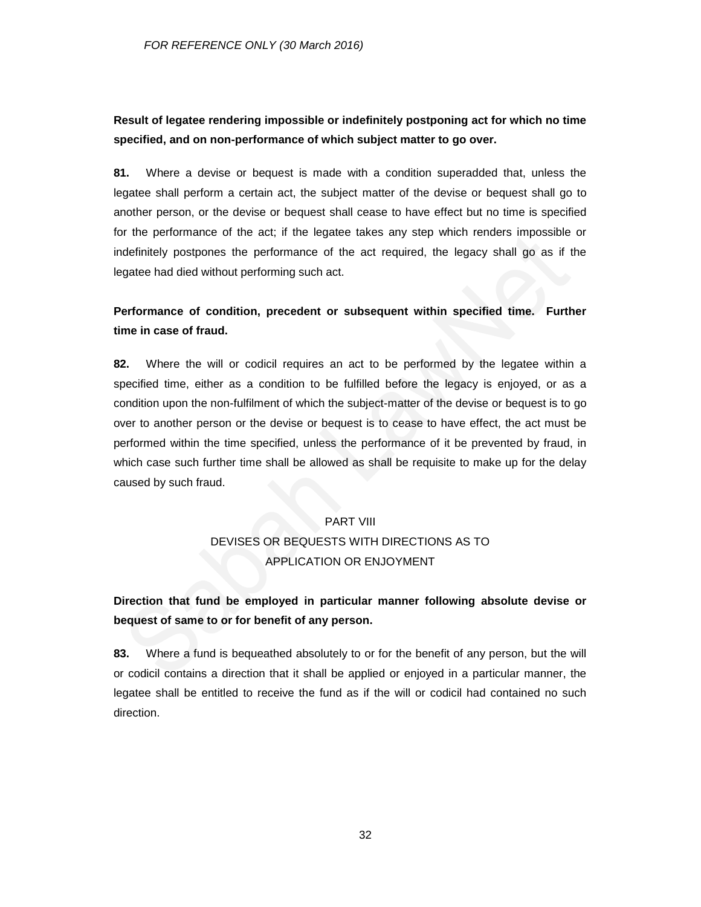## **Result of legatee rendering impossible or indefinitely postponing act for which no time specified, and on non-performance of which subject matter to go over.**

**81.** Where a devise or bequest is made with a condition superadded that, unless the legatee shall perform a certain act, the subject matter of the devise or bequest shall go to another person, or the devise or bequest shall cease to have effect but no time is specified for the performance of the act; if the legatee takes any step which renders impossible or indefinitely postpones the performance of the act required, the legacy shall go as if the legatee had died without performing such act.

## **Performance of condition, precedent or subsequent within specified time. Further time in case of fraud.**

**82.** Where the will or codicil requires an act to be performed by the legatee within a specified time, either as a condition to be fulfilled before the legacy is enjoyed, or as a condition upon the non-fulfilment of which the subject-matter of the devise or bequest is to go over to another person or the devise or bequest is to cease to have effect, the act must be performed within the time specified, unless the performance of it be prevented by fraud, in which case such further time shall be allowed as shall be requisite to make up for the delay caused by such fraud.

### PART VIII

# DEVISES OR BEQUESTS WITH DIRECTIONS AS TO APPLICATION OR ENJOYMENT

## **Direction that fund be employed in particular manner following absolute devise or bequest of same to or for benefit of any person.**

**83.** Where a fund is bequeathed absolutely to or for the benefit of any person, but the will or codicil contains a direction that it shall be applied or enjoyed in a particular manner, the legatee shall be entitled to receive the fund as if the will or codicil had contained no such direction.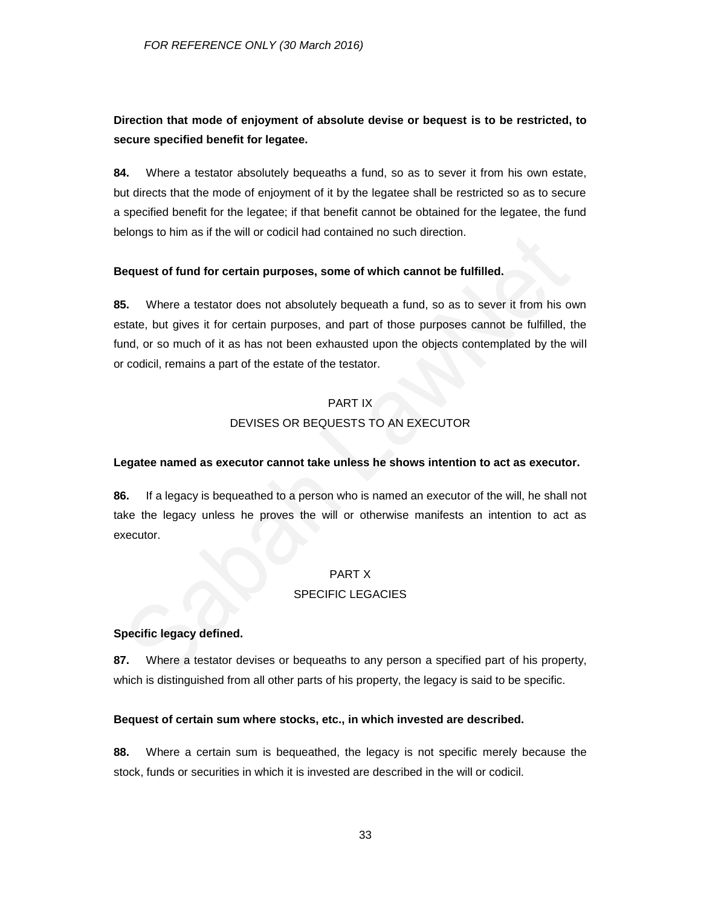## **Direction that mode of enjoyment of absolute devise or bequest is to be restricted, to secure specified benefit for legatee.**

**84.** Where a testator absolutely bequeaths a fund, so as to sever it from his own estate, but directs that the mode of enjoyment of it by the legatee shall be restricted so as to secure a specified benefit for the legatee; if that benefit cannot be obtained for the legatee, the fund belongs to him as if the will or codicil had contained no such direction.

#### **Bequest of fund for certain purposes, some of which cannot be fulfilled.**

**85.** Where a testator does not absolutely bequeath a fund, so as to sever it from his own estate, but gives it for certain purposes, and part of those purposes cannot be fulfilled, the fund, or so much of it as has not been exhausted upon the objects contemplated by the will or codicil, remains a part of the estate of the testator.

### PART IX

## DEVISES OR BEQUESTS TO AN EXECUTOR

#### **Legatee named as executor cannot take unless he shows intention to act as executor.**

**86.** If a legacy is bequeathed to a person who is named an executor of the will, he shall not take the legacy unless he proves the will or otherwise manifests an intention to act as executor.

### PART X

#### SPECIFIC LEGACIES

#### **Specific legacy defined.**

**87.** Where a testator devises or bequeaths to any person a specified part of his property, which is distinguished from all other parts of his property, the legacy is said to be specific.

#### **Bequest of certain sum where stocks, etc., in which invested are described.**

**88.** Where a certain sum is bequeathed, the legacy is not specific merely because the stock, funds or securities in which it is invested are described in the will or codicil.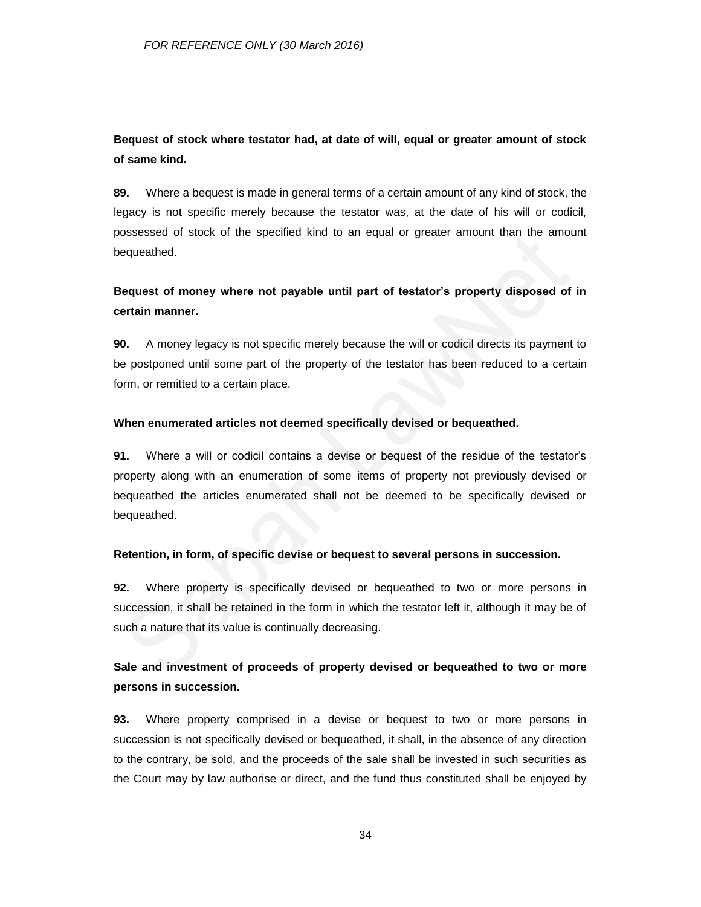## **Bequest of stock where testator had, at date of will, equal or greater amount of stock of same kind.**

**89.** Where a bequest is made in general terms of a certain amount of any kind of stock, the legacy is not specific merely because the testator was, at the date of his will or codicil, possessed of stock of the specified kind to an equal or greater amount than the amount bequeathed.

## **Bequest of money where not payable until part of testator's property disposed of in certain manner.**

**90.** A money legacy is not specific merely because the will or codicil directs its payment to be postponed until some part of the property of the testator has been reduced to a certain form, or remitted to a certain place.

### **When enumerated articles not deemed specifically devised or bequeathed.**

**91.** Where a will or codicil contains a devise or bequest of the residue of the testator's property along with an enumeration of some items of property not previously devised or bequeathed the articles enumerated shall not be deemed to be specifically devised or bequeathed.

### **Retention, in form, of specific devise or bequest to several persons in succession.**

**92.** Where property is specifically devised or bequeathed to two or more persons in succession, it shall be retained in the form in which the testator left it, although it may be of such a nature that its value is continually decreasing.

## **Sale and investment of proceeds of property devised or bequeathed to two or more persons in succession.**

**93.** Where property comprised in a devise or bequest to two or more persons in succession is not specifically devised or bequeathed, it shall, in the absence of any direction to the contrary, be sold, and the proceeds of the sale shall be invested in such securities as the Court may by law authorise or direct, and the fund thus constituted shall be enjoyed by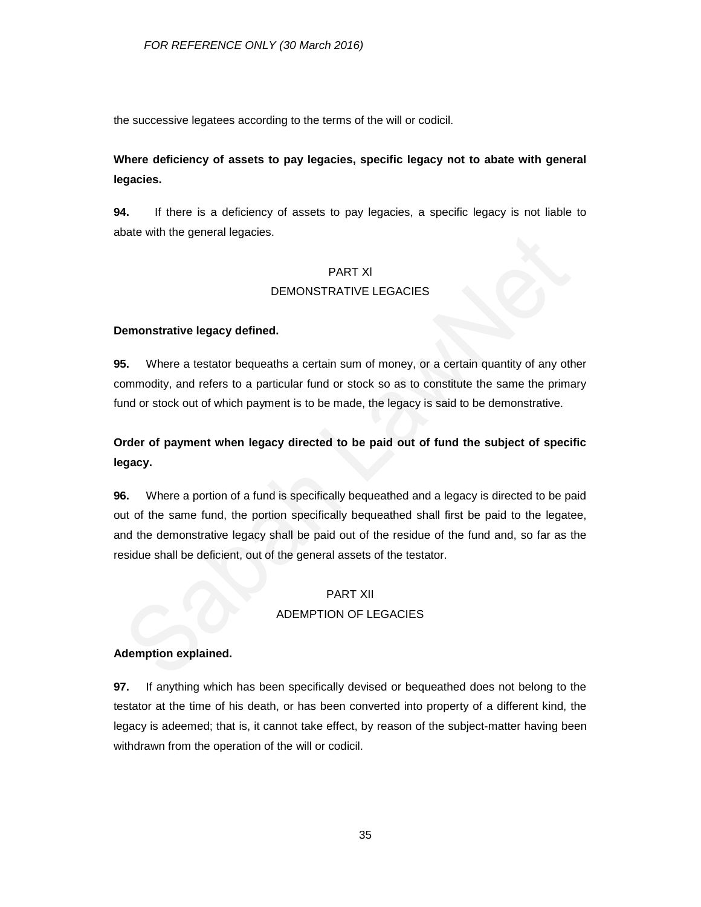the successive legatees according to the terms of the will or codicil.

## **Where deficiency of assets to pay legacies, specific legacy not to abate with general legacies.**

**94.** If there is a deficiency of assets to pay legacies, a specific legacy is not liable to abate with the general legacies.

### PART Xl

## DEMONSTRATIVE LEGACIES

## **Demonstrative legacy defined.**

**95.** Where a testator bequeaths a certain sum of money, or a certain quantity of any other commodity, and refers to a particular fund or stock so as to constitute the same the primary fund or stock out of which payment is to be made, the legacy is said to be demonstrative.

## **Order of payment when legacy directed to be paid out of fund the subject of specific legacy.**

**96.** Where a portion of a fund is specifically bequeathed and a legacy is directed to be paid out of the same fund, the portion specifically bequeathed shall first be paid to the legatee, and the demonstrative legacy shall be paid out of the residue of the fund and, so far as the residue shall be deficient, out of the general assets of the testator.

## PART XII ADEMPTION OF LEGACIES

## **Ademption explained.**

**97.** If anything which has been specifically devised or bequeathed does not belong to the testator at the time of his death, or has been converted into property of a different kind, the legacy is adeemed; that is, it cannot take effect, by reason of the subject-matter having been withdrawn from the operation of the will or codicil.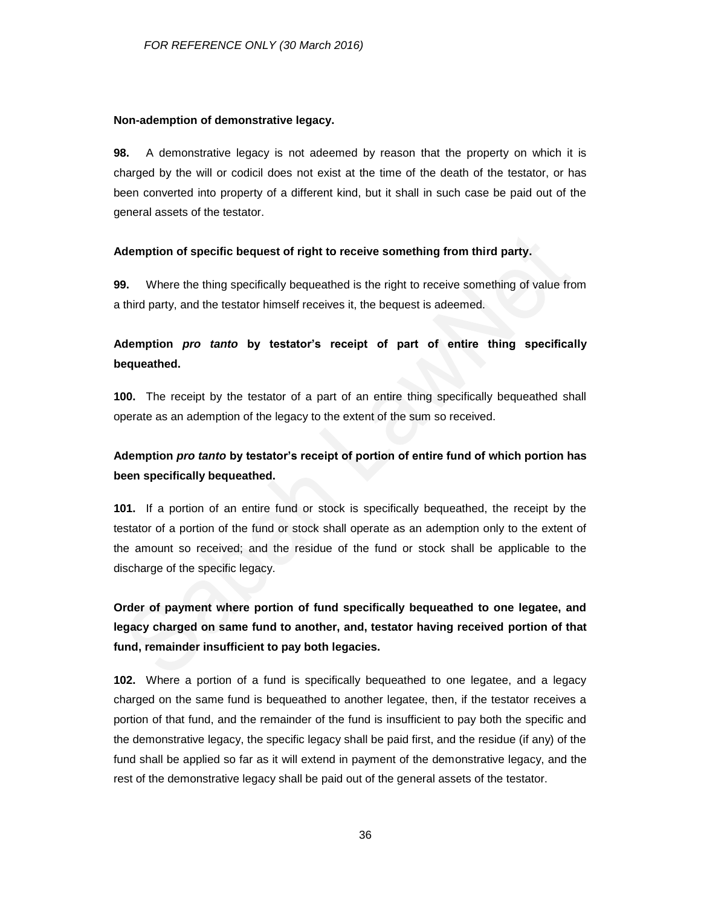#### **Non-ademption of demonstrative legacy.**

**98.** A demonstrative legacy is not adeemed by reason that the property on which it is charged by the will or codicil does not exist at the time of the death of the testator, or has been converted into property of a different kind, but it shall in such case be paid out of the general assets of the testator.

### **Ademption of specific bequest of right to receive something from third party.**

**99.** Where the thing specifically bequeathed is the right to receive something of value from a third party, and the testator himself receives it, the bequest is adeemed.

## **Ademption** *pro tanto* **by testator's receipt of part of entire thing specifically bequeathed.**

**100.** The receipt by the testator of a part of an entire thing specifically bequeathed shall operate as an ademption of the legacy to the extent of the sum so received.

## **Ademption** *pro tanto* **by testator's receipt of portion of entire fund of which portion has been specifically bequeathed.**

**101.** If a portion of an entire fund or stock is specifically bequeathed, the receipt by the testator of a portion of the fund or stock shall operate as an ademption only to the extent of the amount so received; and the residue of the fund or stock shall be applicable to the discharge of the specific legacy.

**Order of payment where portion of fund specifically bequeathed to one legatee, and legacy charged on same fund to another, and, testator having received portion of that fund, remainder insufficient to pay both legacies.**

**102.** Where a portion of a fund is specifically bequeathed to one legatee, and a legacy charged on the same fund is bequeathed to another legatee, then, if the testator receives a portion of that fund, and the remainder of the fund is insufficient to pay both the specific and the demonstrative legacy, the specific legacy shall be paid first, and the residue (if any) of the fund shall be applied so far as it will extend in payment of the demonstrative legacy, and the rest of the demonstrative legacy shall be paid out of the general assets of the testator.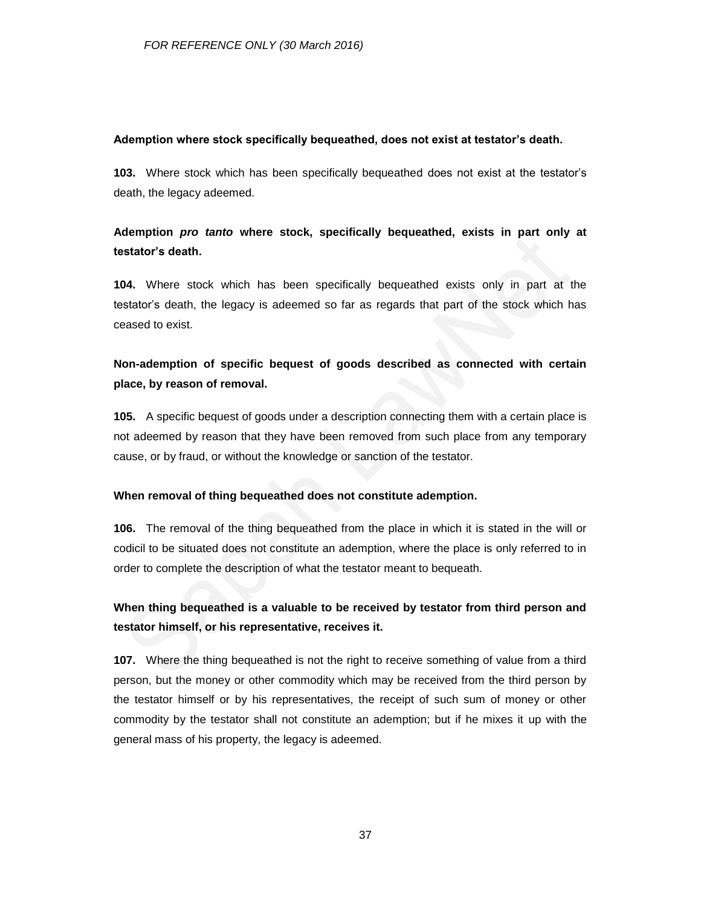### **Ademption where stock specifically bequeathed, does not exist at testator's death.**

**103.** Where stock which has been specifically bequeathed does not exist at the testator's death, the legacy adeemed.

## **Ademption** *pro tanto* **where stock, specifically bequeathed, exists in part only at testator's death.**

**104.** Where stock which has been specifically bequeathed exists only in part at the testator's death, the legacy is adeemed so far as regards that part of the stock which has ceased to exist.

## **Non-ademption of specific bequest of goods described as connected with certain place, by reason of removal.**

**105.** A specific bequest of goods under a description connecting them with a certain place is not adeemed by reason that they have been removed from such place from any temporary cause, or by fraud, or without the knowledge or sanction of the testator.

### **When removal of thing bequeathed does not constitute ademption.**

**106.** The removal of the thing bequeathed from the place in which it is stated in the will or codicil to be situated does not constitute an ademption, where the place is only referred to in order to complete the description of what the testator meant to bequeath.

## **When thing bequeathed is a valuable to be received by testator from third person and testator himself, or his representative, receives it.**

**107.** Where the thing bequeathed is not the right to receive something of value from a third person, but the money or other commodity which may be received from the third person by the testator himself or by his representatives, the receipt of such sum of money or other commodity by the testator shall not constitute an ademption; but if he mixes it up with the general mass of his property, the legacy is adeemed.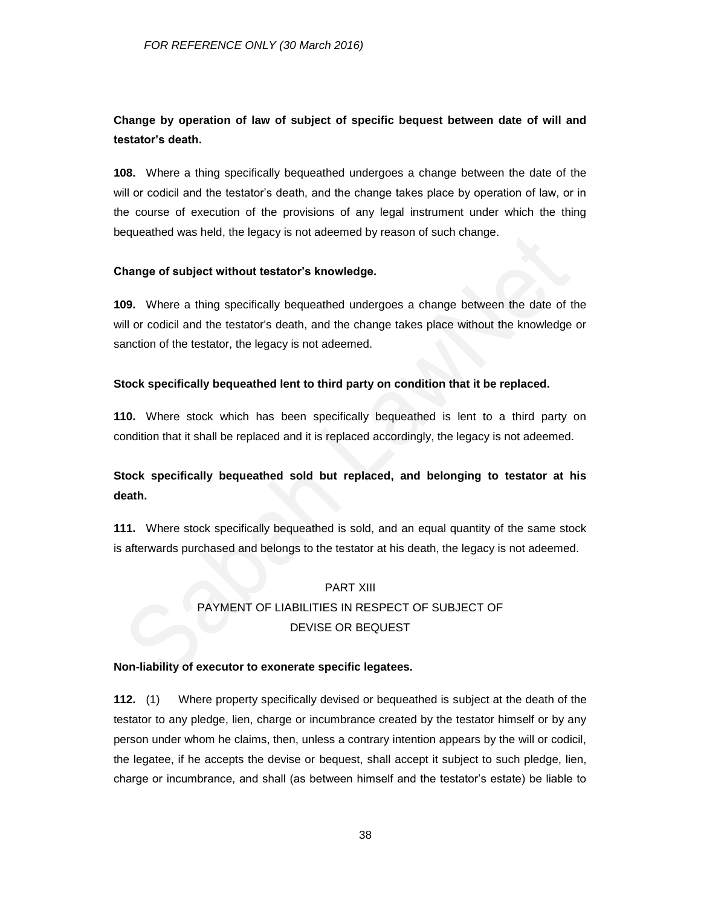## **Change by operation of law of subject of specific bequest between date of will and testator's death.**

**108.** Where a thing specifically bequeathed undergoes a change between the date of the will or codicil and the testator's death, and the change takes place by operation of law, or in the course of execution of the provisions of any legal instrument under which the thing bequeathed was held, the legacy is not adeemed by reason of such change.

### **Change of subject without testator's knowledge.**

**109.** Where a thing specifically bequeathed undergoes a change between the date of the will or codicil and the testator's death, and the change takes place without the knowledge or sanction of the testator, the legacy is not adeemed.

### **Stock specifically bequeathed lent to third party on condition that it be replaced.**

**110.** Where stock which has been specifically bequeathed is lent to a third party on condition that it shall be replaced and it is replaced accordingly, the legacy is not adeemed.

## **Stock specifically bequeathed sold but replaced, and belonging to testator at his death.**

**111.** Where stock specifically bequeathed is sold, and an equal quantity of the same stock is afterwards purchased and belongs to the testator at his death, the legacy is not adeemed.

# PART XIII PAYMENT OF LIABILITIES IN RESPECT OF SUBJECT OF DEVISE OR BEQUEST

### **Non-liability of executor to exonerate specific legatees.**

**112.** (1) Where property specifically devised or bequeathed is subject at the death of the testator to any pledge, lien, charge or incumbrance created by the testator himself or by any person under whom he claims, then, unless a contrary intention appears by the will or codicil, the legatee, if he accepts the devise or bequest, shall accept it subject to such pledge, lien, charge or incumbrance, and shall (as between himself and the testator's estate) be liable to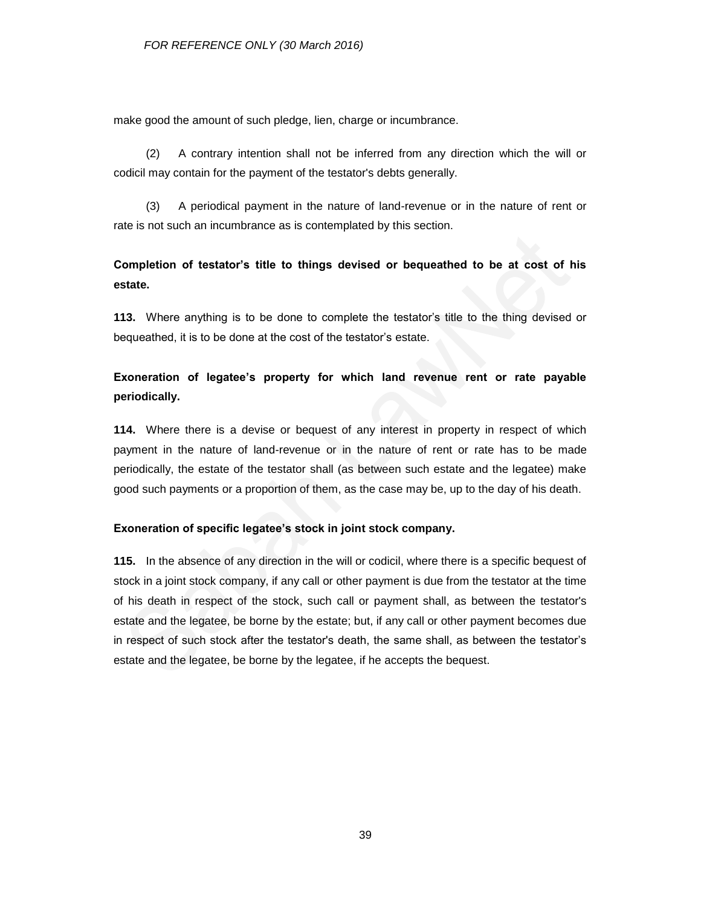make good the amount of such pledge, lien, charge or incumbrance.

(2) A contrary intention shall not be inferred from any direction which the will or codicil may contain for the payment of the testator's debts generally.

(3) A periodical payment in the nature of land-revenue or in the nature of rent or rate is not such an incumbrance as is contemplated by this section.

## **Completion of testator's title to things devised or bequeathed to be at cost of his estate.**

**113.** Where anything is to be done to complete the testator's title to the thing devised or bequeathed, it is to be done at the cost of the testator's estate.

## **Exoneration of legatee's property for which land revenue rent or rate payable periodically.**

**114.** Where there is a devise or bequest of any interest in property in respect of which payment in the nature of land-revenue or in the nature of rent or rate has to be made periodically, the estate of the testator shall (as between such estate and the legatee) make good such payments or a proportion of them, as the case may be, up to the day of his death.

### **Exoneration of specific legatee's stock in joint stock company.**

**115.** In the absence of any direction in the will or codicil, where there is a specific bequest of stock in a joint stock company, if any call or other payment is due from the testator at the time of his death in respect of the stock, such call or payment shall, as between the testator's estate and the legatee, be borne by the estate; but, if any call or other payment becomes due in respect of such stock after the testator's death, the same shall, as between the testator's estate and the legatee, be borne by the legatee, if he accepts the bequest.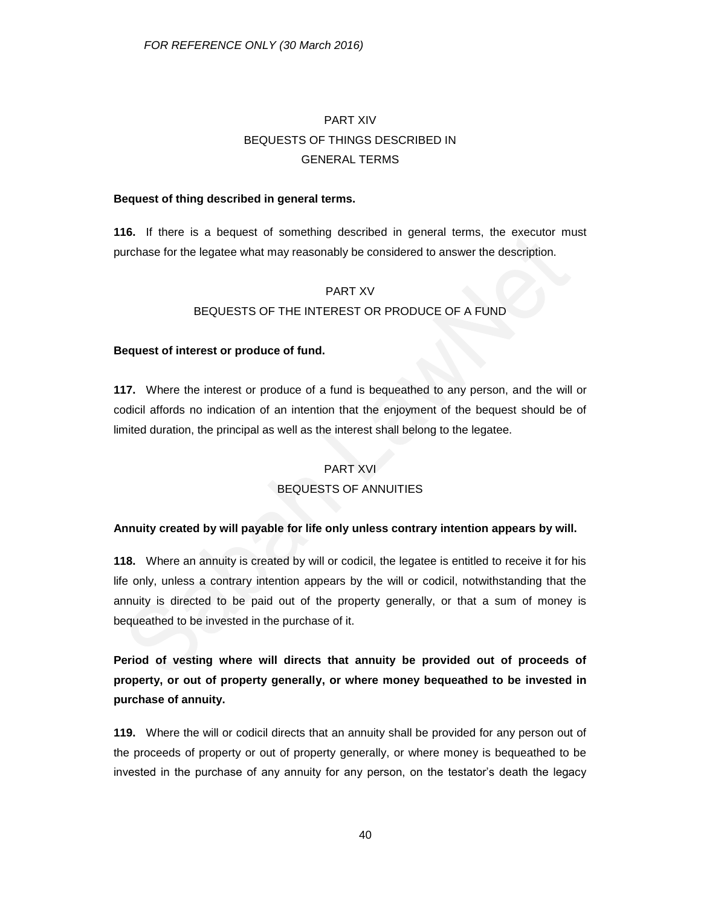# PART XIV BEQUESTS OF THINGS DESCRIBED IN GENERAL TERMS

### **Bequest of thing described in general terms.**

**116.** If there is a bequest of something described in general terms, the executor must purchase for the legatee what may reasonably be considered to answer the description.

### PART XV

### BEQUESTS OF THE INTEREST OR PRODUCE OF A FUND

### **Bequest of interest or produce of fund.**

**117.** Where the interest or produce of a fund is bequeathed to any person, and the will or codicil affords no indication of an intention that the enjoyment of the bequest should be of limited duration, the principal as well as the interest shall belong to the legatee.

## PART XVI

## BEQUESTS OF ANNUITIES

### **Annuity created by will payable for life only unless contrary intention appears by will.**

**118.** Where an annuity is created by will or codicil, the legatee is entitled to receive it for his life only, unless a contrary intention appears by the will or codicil, notwithstanding that the annuity is directed to be paid out of the property generally, or that a sum of money is bequeathed to be invested in the purchase of it.

**Period of vesting where will directs that annuity be provided out of proceeds of property, or out of property generally, or where money bequeathed to be invested in purchase of annuity.**

**119.** Where the will or codicil directs that an annuity shall be provided for any person out of the proceeds of property or out of property generally, or where money is bequeathed to be invested in the purchase of any annuity for any person, on the testator's death the legacy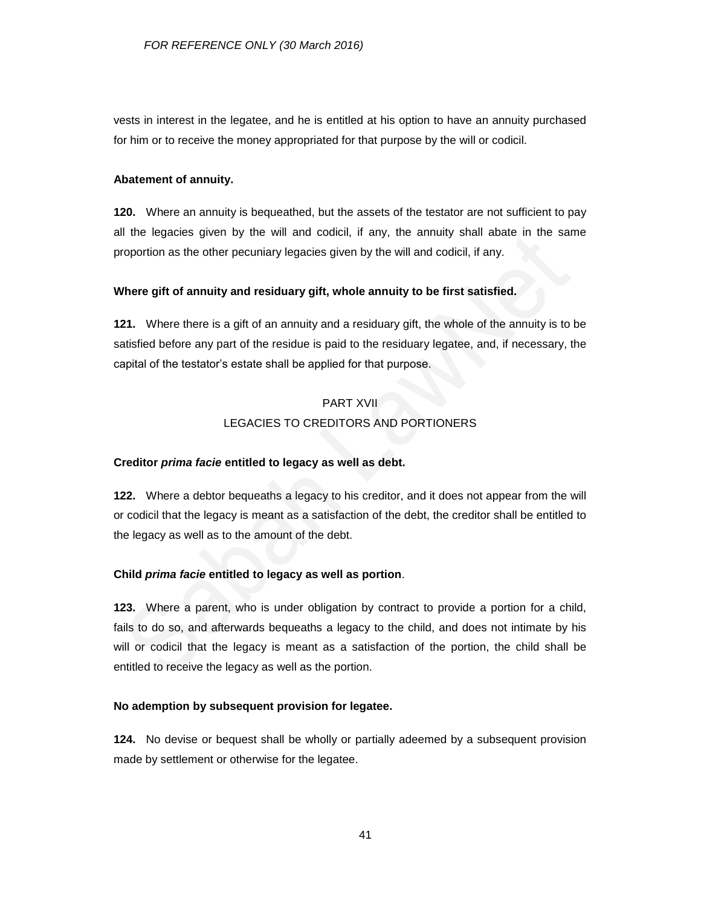vests in interest in the legatee, and he is entitled at his option to have an annuity purchased for him or to receive the money appropriated for that purpose by the will or codicil.

#### **Abatement of annuity.**

**120.** Where an annuity is bequeathed, but the assets of the testator are not sufficient to pay all the legacies given by the will and codicil, if any, the annuity shall abate in the same proportion as the other pecuniary legacies given by the will and codicil, if any.

### **Where gift of annuity and residuary gift, whole annuity to be first satisfied.**

**121.** Where there is a gift of an annuity and a residuary gift, the whole of the annuity is to be satisfied before any part of the residue is paid to the residuary legatee, and, if necessary, the capital of the testator's estate shall be applied for that purpose.

## PART XVII LEGACIES TO CREDITORS AND PORTIONERS

### **Creditor** *prima facie* **entitled to legacy as well as debt.**

**122.** Where a debtor bequeaths a legacy to his creditor, and it does not appear from the will or codicil that the legacy is meant as a satisfaction of the debt, the creditor shall be entitled to the legacy as well as to the amount of the debt.

### **Child** *prima facie* **entitled to legacy as well as portion**.

**123.** Where a parent, who is under obligation by contract to provide a portion for a child, fails to do so, and afterwards bequeaths a legacy to the child, and does not intimate by his will or codicil that the legacy is meant as a satisfaction of the portion, the child shall be entitled to receive the legacy as well as the portion.

#### **No ademption by subsequent provision for legatee.**

**124.** No devise or bequest shall be wholly or partially adeemed by a subsequent provision made by settlement or otherwise for the legatee.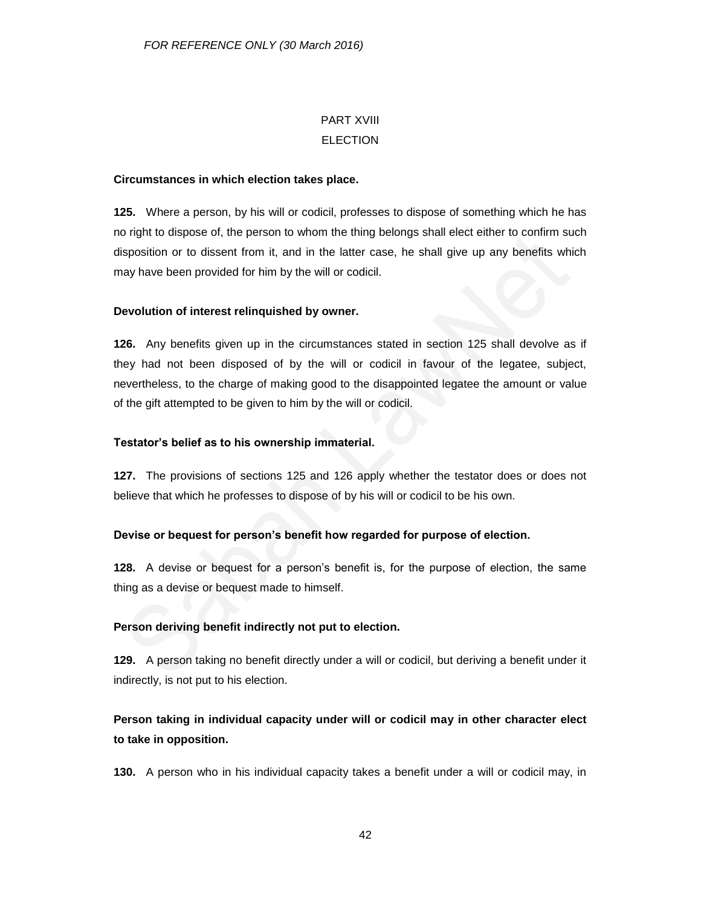## PART XVIII **ELECTION**

### **Circumstances in which election takes place.**

**125.** Where a person, by his will or codicil, professes to dispose of something which he has no right to dispose of, the person to whom the thing belongs shall elect either to confirm such disposition or to dissent from it, and in the latter case, he shall give up any benefits which may have been provided for him by the will or codicil.

## **Devolution of interest relinquished by owner.**

**126.** Any benefits given up in the circumstances stated in section 125 shall devolve as if they had not been disposed of by the will or codicil in favour of the legatee, subject, nevertheless, to the charge of making good to the disappointed legatee the amount or value of the gift attempted to be given to him by the will or codicil.

### **Testator's belief as to his ownership immaterial.**

**127.** The provisions of sections 125 and 126 apply whether the testator does or does not believe that which he professes to dispose of by his will or codicil to be his own.

## **Devise or bequest for person's benefit how regarded for purpose of election.**

**128.** A devise or bequest for a person's benefit is, for the purpose of election, the same thing as a devise or bequest made to himself.

## **Person deriving benefit indirectly not put to election.**

**129.** A person taking no benefit directly under a will or codicil, but deriving a benefit under it indirectly, is not put to his election.

## **Person taking in individual capacity under will or codicil may in other character elect to take in opposition.**

**130.** A person who in his individual capacity takes a benefit under a will or codicil may, in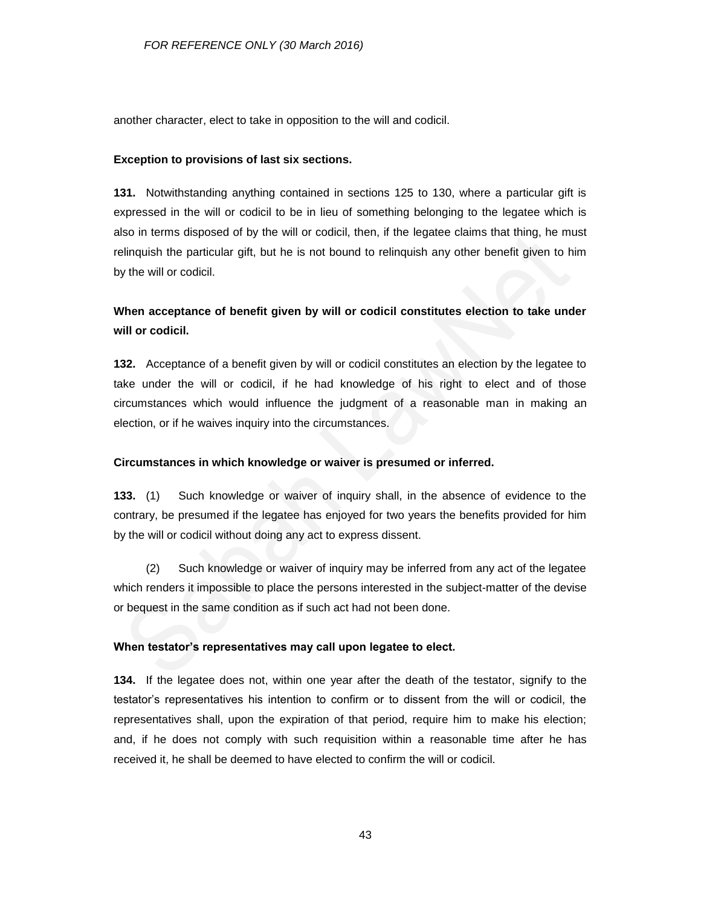another character, elect to take in opposition to the will and codicil.

#### **Exception to provisions of last six sections.**

**131.** Notwithstanding anything contained in sections 125 to 130, where a particular gift is expressed in the will or codicil to be in lieu of something belonging to the legatee which is also in terms disposed of by the will or codicil, then, if the legatee claims that thing, he must relinquish the particular gift, but he is not bound to relinquish any other benefit given to him by the will or codicil.

## **When acceptance of benefit given by will or codicil constitutes election to take under will or codicil.**

**132.** Acceptance of a benefit given by will or codicil constitutes an election by the legatee to take under the will or codicil, if he had knowledge of his right to elect and of those circumstances which would influence the judgment of a reasonable man in making an election, or if he waives inquiry into the circumstances.

### **Circumstances in which knowledge or waiver is presumed or inferred.**

**133.** (1) Such knowledge or waiver of inquiry shall, in the absence of evidence to the contrary, be presumed if the legatee has enjoyed for two years the benefits provided for him by the will or codicil without doing any act to express dissent.

(2) Such knowledge or waiver of inquiry may be inferred from any act of the legatee which renders it impossible to place the persons interested in the subject-matter of the devise or bequest in the same condition as if such act had not been done.

#### **When testator's representatives may call upon legatee to elect.**

**134.** If the legatee does not, within one year after the death of the testator, signify to the testator's representatives his intention to confirm or to dissent from the will or codicil, the representatives shall, upon the expiration of that period, require him to make his election; and, if he does not comply with such requisition within a reasonable time after he has received it, he shall be deemed to have elected to confirm the will or codicil.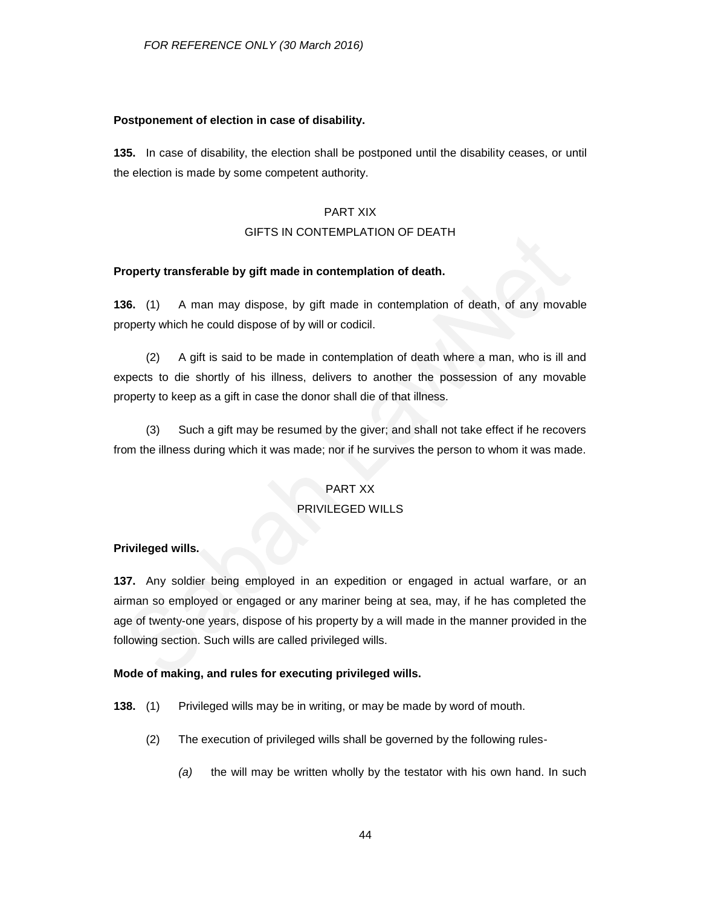#### **Postponement of election in case of disability.**

**135.** In case of disability, the election shall be postponed until the disability ceases, or until the election is made by some competent authority.

### PART XIX

### GIFTS IN CONTEMPLATION OF DEATH

#### **Property transferable by gift made in contemplation of death.**

**136.** (1) A man may dispose, by gift made in contemplation of death, of any movable property which he could dispose of by will or codicil.

(2) A gift is said to be made in contemplation of death where a man, who is ill and expects to die shortly of his illness, delivers to another the possession of any movable property to keep as a gift in case the donor shall die of that illness.

(3) Such a gift may be resumed by the giver; and shall not take effect if he recovers from the illness during which it was made; nor if he survives the person to whom it was made.

#### PART XX

#### PRIVILEGED WILLS

#### **Privileged wills.**

**137.** Any soldier being employed in an expedition or engaged in actual warfare, or an airman so employed or engaged or any mariner being at sea, may, if he has completed the age of twenty-one years, dispose of his property by a will made in the manner provided in the following section. Such wills are called privileged wills.

#### **Mode of making, and rules for executing privileged wills.**

- **138.** (1) Privileged wills may be in writing, or may be made by word of mouth.
	- (2) The execution of privileged wills shall be governed by the following rules-
		- *(a)* the will may be written wholly by the testator with his own hand. In such